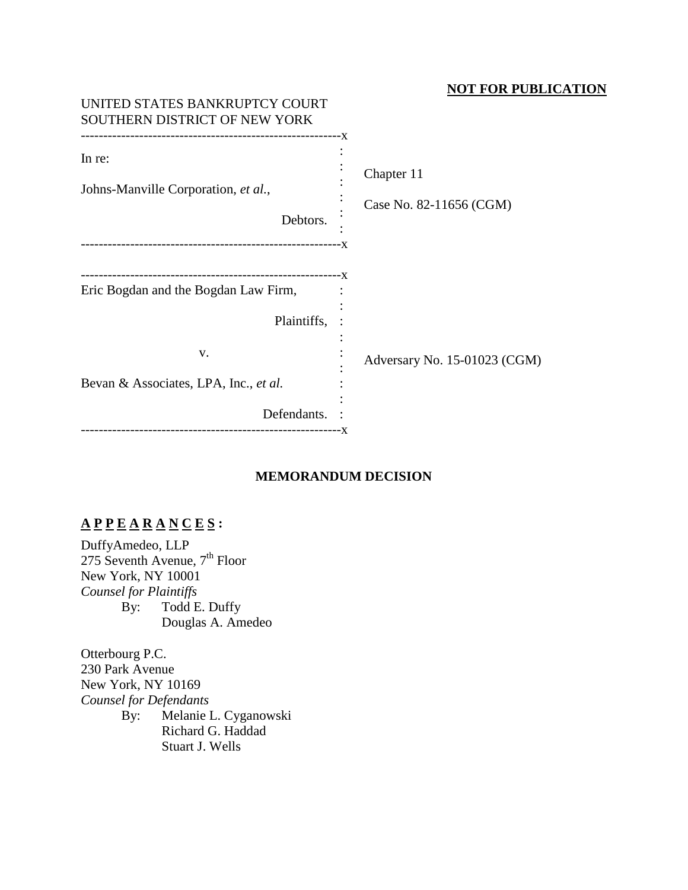## **NOT FOR PUBLICATION**

| UNITED STATES BANKRUPTCY COURT<br>SOUTHERN DISTRICT OF NEW YORK |                                       |
|-----------------------------------------------------------------|---------------------------------------|
| In re:<br>Johns-Manville Corporation, et al.,                   | Chapter 11<br>Case No. 82-11656 (CGM) |
| Debtors.                                                        |                                       |
| Eric Bogdan and the Bogdan Law Firm,                            |                                       |
| Plaintiffs,<br>V.                                               | Adversary No. 15-01023 (CGM)          |
| Bevan & Associates, LPA, Inc., et al.                           |                                       |
| Defendants.                                                     |                                       |

# **MEMORANDUM DECISION**

# **A P P E A R A N C E S :**

DuffyAmedeo, LLP 275 Seventh Avenue,  $7<sup>th</sup>$  Floor New York, NY 10001 *Counsel for Plaintiffs* By: Todd E. Duffy Douglas A. Amedeo

Otterbourg P.C. 230 Park Avenue New York, NY 10169 *Counsel for Defendants* By: Melanie L. Cyganowski Richard G. Haddad Stuart J. Wells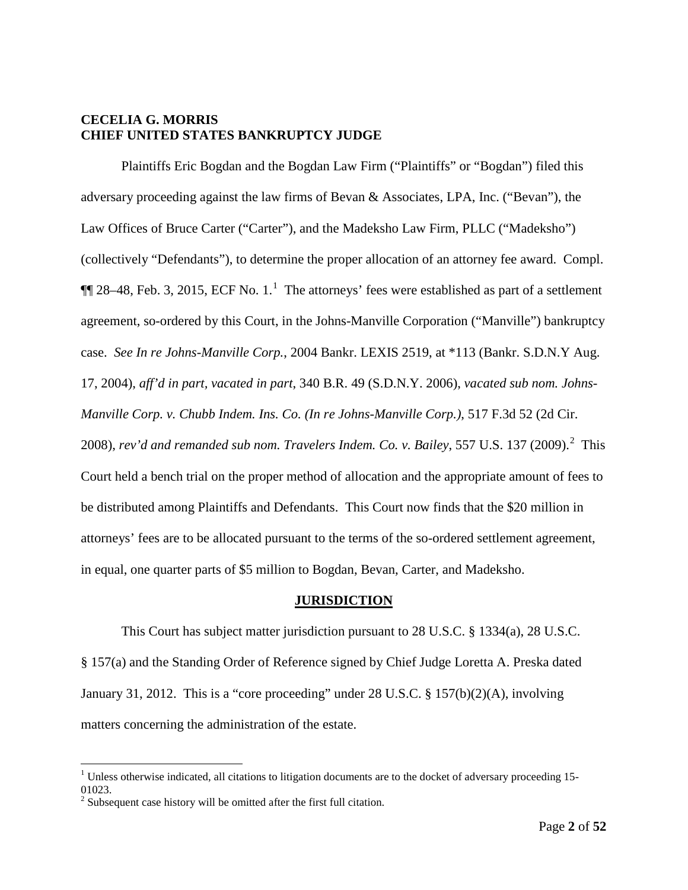## **CECELIA G. MORRIS CHIEF UNITED STATES BANKRUPTCY JUDGE**

Plaintiffs Eric Bogdan and the Bogdan Law Firm ("Plaintiffs" or "Bogdan") filed this adversary proceeding against the law firms of Bevan & Associates, LPA, Inc. ("Bevan"), the Law Offices of Bruce Carter ("Carter"), and the Madeksho Law Firm, PLLC ("Madeksho") (collectively "Defendants"), to determine the proper allocation of an attorney fee award. Compl.  $\P$  28–48, Feb. 3, 20[1](#page-1-0)5, ECF No. 1.<sup>1</sup> The attorneys' fees were established as part of a settlement agreement, so-ordered by this Court, in the Johns-Manville Corporation ("Manville") bankruptcy case. *See In re Johns-Manville Corp.*, 2004 Bankr. LEXIS 2519, at \*113 (Bankr. S.D.N.Y Aug. 17, 2004), *aff'd in part, vacated in part*, 340 B.R. 49 (S.D.N.Y. 2006), *vacated sub nom. Johns-Manville Corp. v. Chubb Indem. Ins. Co. (In re Johns-Manville Corp.)*, 517 F.3d 52 (2d Cir. [2](#page-1-1)008), rev'd and remanded sub nom. Travelers Indem. Co. v. Bailey, 557 U.S. 137 (2009).<sup>2</sup> This Court held a bench trial on the proper method of allocation and the appropriate amount of fees to be distributed among Plaintiffs and Defendants. This Court now finds that the \$20 million in attorneys' fees are to be allocated pursuant to the terms of the so-ordered settlement agreement, in equal, one quarter parts of \$5 million to Bogdan, Bevan, Carter, and Madeksho.

## **JURISDICTION**

This Court has subject matter jurisdiction pursuant to 28 U.S.C. § 1334(a), 28 U.S.C. § 157(a) and the Standing Order of Reference signed by Chief Judge Loretta A. Preska dated January 31, 2012. This is a "core proceeding" under 28 U.S.C. § 157(b)(2)(A), involving matters concerning the administration of the estate.

<span id="page-1-0"></span> $<sup>1</sup>$  Unless otherwise indicated, all citations to litigation documents are to the docket of adversary proceeding 15-</sup> 01023.

<span id="page-1-1"></span> $2$  Subsequent case history will be omitted after the first full citation.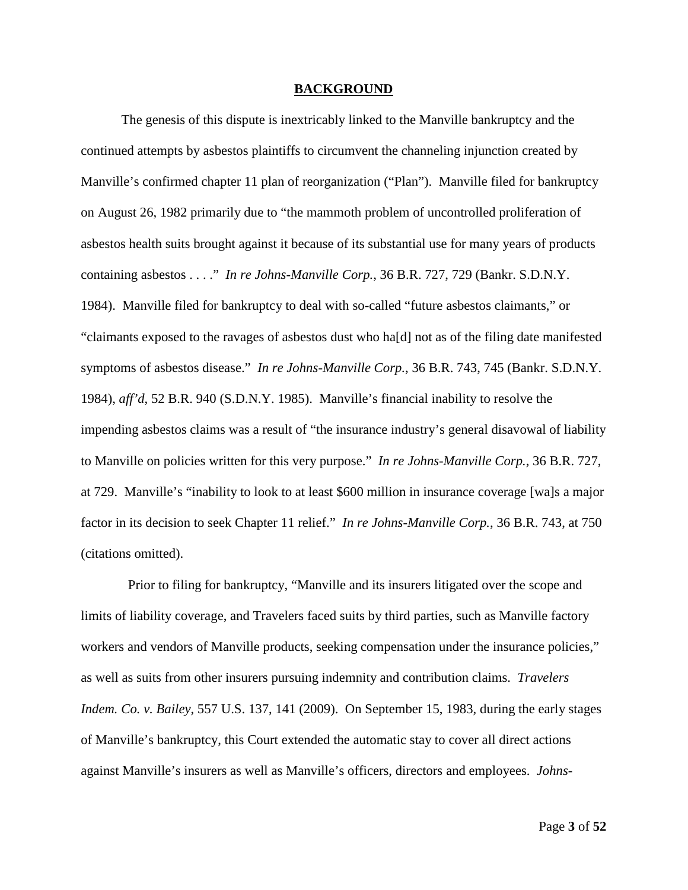#### **BACKGROUND**

The genesis of this dispute is inextricably linked to the Manville bankruptcy and the continued attempts by asbestos plaintiffs to circumvent the channeling injunction created by Manville's confirmed chapter 11 plan of reorganization ("Plan"). Manville filed for bankruptcy on August 26, 1982 primarily due to "the mammoth problem of uncontrolled proliferation of asbestos health suits brought against it because of its substantial use for many years of products containing asbestos . . . ." *In re Johns-Manville Corp.*, 36 B.R. 727, 729 (Bankr. S.D.N.Y. 1984). Manville filed for bankruptcy to deal with so-called "future asbestos claimants," or "claimants exposed to the ravages of asbestos dust who ha[d] not as of the filing date manifested symptoms of asbestos disease." *In re Johns-Manville Corp.*, 36 B.R. 743, 745 (Bankr. S.D.N.Y. 1984), *aff'd*, 52 B.R. 940 (S.D.N.Y. 1985). Manville's financial inability to resolve the impending asbestos claims was a result of "the insurance industry's general disavowal of liability to Manville on policies written for this very purpose." *In re Johns-Manville Corp.*, 36 B.R. 727, at 729. Manville's "inability to look to at least \$600 million in insurance coverage [wa]s a major factor in its decision to seek Chapter 11 relief." *In re Johns-Manville Corp.*, 36 B.R. 743, at 750 (citations omitted).

 Prior to filing for bankruptcy, "Manville and its insurers litigated over the scope and limits of liability coverage, and Travelers faced suits by third parties, such as Manville factory workers and vendors of Manville products, seeking compensation under the insurance policies," as well as suits from other insurers pursuing indemnity and contribution claims. *Travelers Indem. Co. v. Bailey*, 557 U.S. 137, 141 (2009). On September 15, 1983, during the early stages of Manville's bankruptcy, this Court extended the automatic stay to cover all direct actions against Manville's insurers as well as Manville's officers, directors and employees. *Johns-*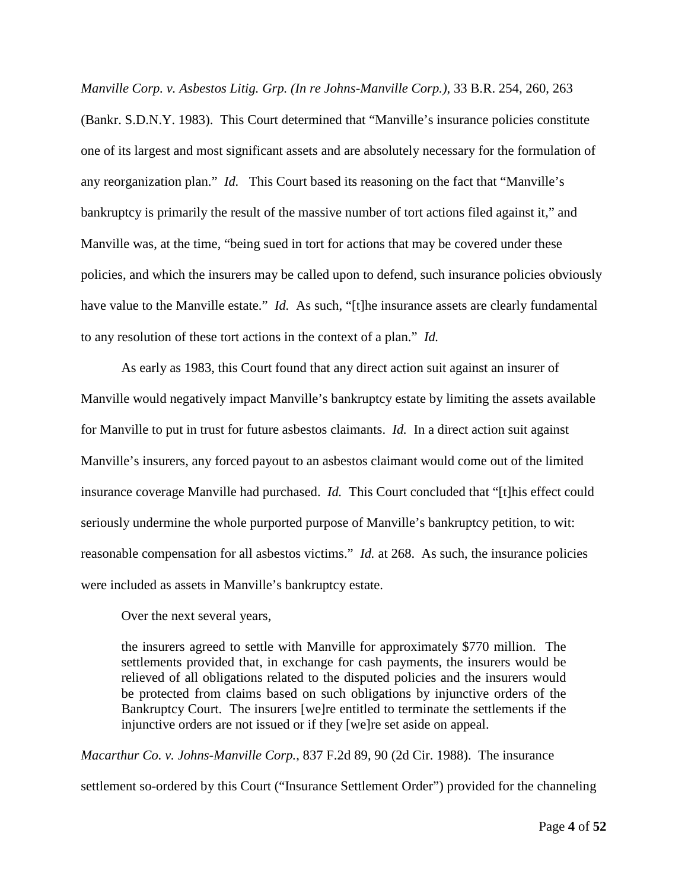*Manville Corp. v. Asbestos Litig. Grp. (In re Johns-Manville Corp.)*, 33 B.R. 254, 260, 263 (Bankr. S.D.N.Y. 1983). This Court determined that "Manville's insurance policies constitute one of its largest and most significant assets and are absolutely necessary for the formulation of any reorganization plan." *Id.* This Court based its reasoning on the fact that "Manville's bankruptcy is primarily the result of the massive number of tort actions filed against it," and Manville was, at the time, "being sued in tort for actions that may be covered under these policies, and which the insurers may be called upon to defend, such insurance policies obviously have value to the Manville estate." *Id.* As such, "[t]he insurance assets are clearly fundamental to any resolution of these tort actions in the context of a plan." *Id.*

As early as 1983, this Court found that any direct action suit against an insurer of Manville would negatively impact Manville's bankruptcy estate by limiting the assets available for Manville to put in trust for future asbestos claimants. *Id.* In a direct action suit against Manville's insurers, any forced payout to an asbestos claimant would come out of the limited insurance coverage Manville had purchased. *Id.* This Court concluded that "[t]his effect could seriously undermine the whole purported purpose of Manville's bankruptcy petition, to wit: reasonable compensation for all asbestos victims." *Id.* at 268. As such, the insurance policies were included as assets in Manville's bankruptcy estate.

Over the next several years,

the insurers agreed to settle with Manville for approximately \$770 million. The settlements provided that, in exchange for cash payments, the insurers would be relieved of all obligations related to the disputed policies and the insurers would be protected from claims based on such obligations by injunctive orders of the Bankruptcy Court. The insurers [we]re entitled to terminate the settlements if the injunctive orders are not issued or if they [we]re set aside on appeal.

*Macarthur Co. v. Johns-Manville Corp.*, 837 F.2d 89, 90 (2d Cir. 1988). The insurance settlement so-ordered by this Court ("Insurance Settlement Order") provided for the channeling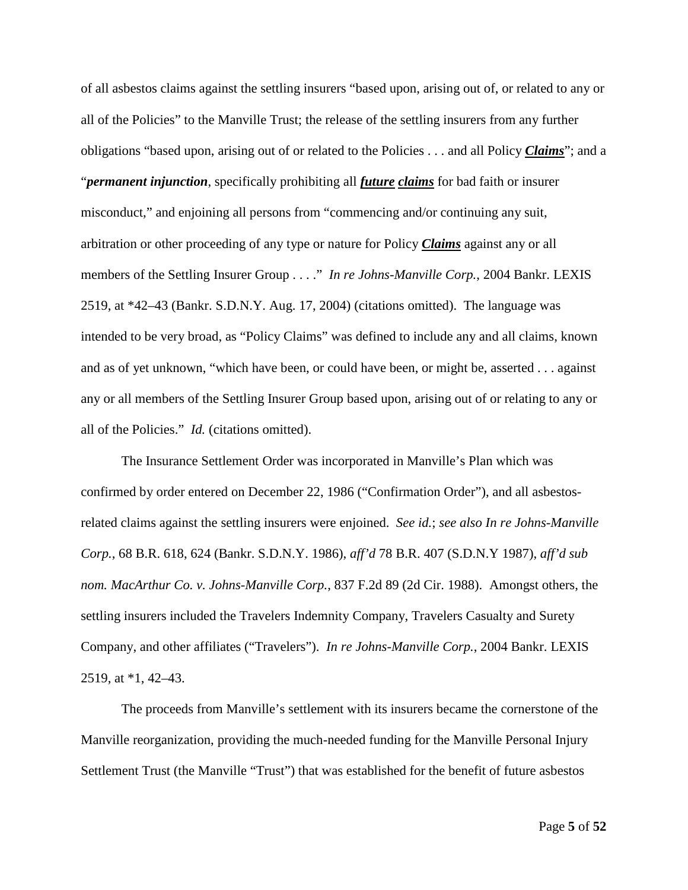of all asbestos claims against the settling insurers "based upon, arising out of, or related to any or all of the Policies" to the Manville Trust; the release of the settling insurers from any further obligations "based upon, arising out of or related to the Policies . . . and all Policy *Claims*"; and a "*permanent injunction*, specifically prohibiting all *future claims* for bad faith or insurer misconduct," and enjoining all persons from "commencing and/or continuing any suit, arbitration or other proceeding of any type or nature for Policy *Claims* against any or all members of the Settling Insurer Group . . . ." *In re Johns-Manville Corp.*, 2004 Bankr. LEXIS 2519, at \*42–43 (Bankr. S.D.N.Y. Aug. 17, 2004) (citations omitted). The language was intended to be very broad, as "Policy Claims" was defined to include any and all claims, known and as of yet unknown, "which have been, or could have been, or might be, asserted . . . against any or all members of the Settling Insurer Group based upon, arising out of or relating to any or all of the Policies." *Id.* (citations omitted).

The Insurance Settlement Order was incorporated in Manville's Plan which was confirmed by order entered on December 22, 1986 ("Confirmation Order"), and all asbestosrelated claims against the settling insurers were enjoined. *See id.*; *see also In re Johns-Manville Corp.*, 68 B.R. 618, 624 (Bankr. S.D.N.Y. 1986), *aff'd* 78 B.R. 407 (S.D.N.Y 1987), *aff'd sub nom. MacArthur Co. v. Johns-Manville Corp.*, 837 F.2d 89 (2d Cir. 1988). Amongst others, the settling insurers included the Travelers Indemnity Company, Travelers Casualty and Surety Company, and other affiliates ("Travelers"). *In re Johns-Manville Corp.*, 2004 Bankr. LEXIS 2519, at \*1, 42–43.

The proceeds from Manville's settlement with its insurers became the cornerstone of the Manville reorganization, providing the much-needed funding for the Manville Personal Injury Settlement Trust (the Manville "Trust") that was established for the benefit of future asbestos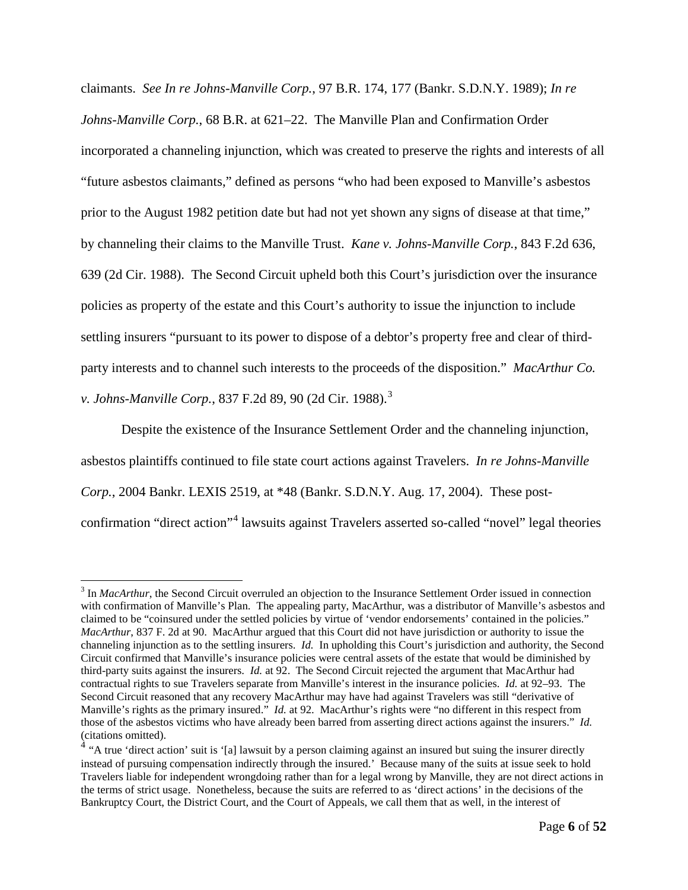claimants. *See In re Johns-Manville Corp.*, 97 B.R. 174, 177 (Bankr. S.D.N.Y. 1989); *In re Johns-Manville Corp.*, 68 B.R. at 621–22. The Manville Plan and Confirmation Order incorporated a channeling injunction, which was created to preserve the rights and interests of all "future asbestos claimants," defined as persons "who had been exposed to Manville's asbestos prior to the August 1982 petition date but had not yet shown any signs of disease at that time," by channeling their claims to the Manville Trust. *Kane v. Johns-Manville Corp.*, 843 F.2d 636, 639 (2d Cir. 1988). The Second Circuit upheld both this Court's jurisdiction over the insurance policies as property of the estate and this Court's authority to issue the injunction to include settling insurers "pursuant to its power to dispose of a debtor's property free and clear of thirdparty interests and to channel such interests to the proceeds of the disposition." *MacArthur Co. v. Johns-Manville Corp.*, 837 F.2d 89, 90 (2d Cir. 1988). [3](#page-5-0)

Despite the existence of the Insurance Settlement Order and the channeling injunction, asbestos plaintiffs continued to file state court actions against Travelers. *In re Johns-Manville Corp.*, 2004 Bankr. LEXIS 2519, at \*48 (Bankr. S.D.N.Y. Aug. 17, 2004). These postconfirmation "direct action"[4](#page-5-1) lawsuits against Travelers asserted so-called "novel" legal theories

<span id="page-5-0"></span><sup>&</sup>lt;sup>3</sup> In *MacArthur*, the Second Circuit overruled an objection to the Insurance Settlement Order issued in connection with confirmation of Manville's Plan. The appealing party, MacArthur, was a distributor of Manville's asbestos and claimed to be "coinsured under the settled policies by virtue of 'vendor endorsements' contained in the policies." *MacArthur*, 837 F. 2d at 90. MacArthur argued that this Court did not have jurisdiction or authority to issue the channeling injunction as to the settling insurers. *Id.* In upholding this Court's jurisdiction and authority, the Second Circuit confirmed that Manville's insurance policies were central assets of the estate that would be diminished by third-party suits against the insurers. *Id.* at 92. The Second Circuit rejected the argument that MacArthur had contractual rights to sue Travelers separate from Manville's interest in the insurance policies. *Id.* at 92–93. The Second Circuit reasoned that any recovery MacArthur may have had against Travelers was still "derivative of Manville's rights as the primary insured." *Id.* at 92. MacArthur's rights were "no different in this respect from those of the asbestos victims who have already been barred from asserting direct actions against the insurers." *Id.* (citations omitted).

<span id="page-5-1"></span><sup>&</sup>lt;sup>4</sup> "A true 'direct action' suit is '[a] lawsuit by a person claiming against an insured but suing the insurer directly instead of pursuing compensation indirectly through the insured.' Because many of the suits at issue seek to hold Travelers liable for independent wrongdoing rather than for a legal wrong by Manville, they are not direct actions in the terms of strict usage. Nonetheless, because the suits are referred to as 'direct actions' in the decisions of the Bankruptcy Court, the District Court, and the Court of Appeals, we call them that as well, in the interest of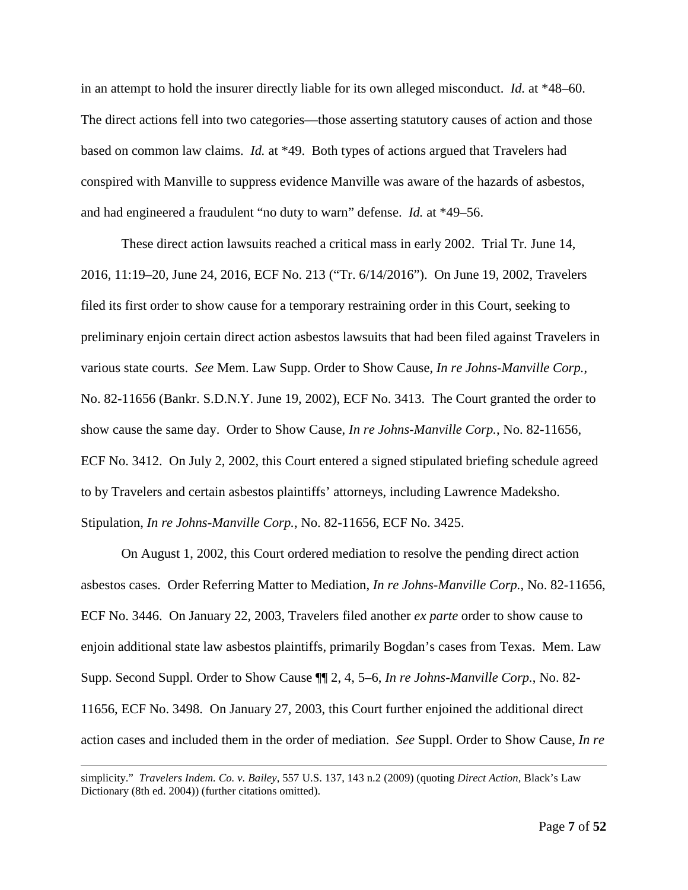in an attempt to hold the insurer directly liable for its own alleged misconduct. *Id.* at \*48–60. The direct actions fell into two categories—those asserting statutory causes of action and those based on common law claims. *Id.* at \*49. Both types of actions argued that Travelers had conspired with Manville to suppress evidence Manville was aware of the hazards of asbestos, and had engineered a fraudulent "no duty to warn" defense. *Id.* at \*49–56.

These direct action lawsuits reached a critical mass in early 2002. Trial Tr. June 14, 2016, 11:19–20, June 24, 2016, ECF No. 213 ("Tr. 6/14/2016"). On June 19, 2002, Travelers filed its first order to show cause for a temporary restraining order in this Court, seeking to preliminary enjoin certain direct action asbestos lawsuits that had been filed against Travelers in various state courts. *See* Mem. Law Supp. Order to Show Cause, *In re Johns-Manville Corp.*, No. 82-11656 (Bankr. S.D.N.Y. June 19, 2002), ECF No. 3413. The Court granted the order to show cause the same day. Order to Show Cause, *In re Johns-Manville Corp.*, No. 82-11656, ECF No. 3412. On July 2, 2002, this Court entered a signed stipulated briefing schedule agreed to by Travelers and certain asbestos plaintiffs' attorneys, including Lawrence Madeksho. Stipulation, *In re Johns-Manville Corp.*, No. 82-11656, ECF No. 3425.

On August 1, 2002, this Court ordered mediation to resolve the pending direct action asbestos cases. Order Referring Matter to Mediation, *In re Johns-Manville Corp.*, No. 82-11656, ECF No. 3446. On January 22, 2003, Travelers filed another *ex parte* order to show cause to enjoin additional state law asbestos plaintiffs, primarily Bogdan's cases from Texas. Mem. Law Supp. Second Suppl. Order to Show Cause ¶¶ 2, 4, 5–6, *In re Johns-Manville Corp.*, No. 82- 11656, ECF No. 3498. On January 27, 2003, this Court further enjoined the additional direct action cases and included them in the order of mediation. *See* Suppl. Order to Show Cause, *In re* 

 $\overline{a}$ 

simplicity." *Travelers Indem. Co. v. Bailey*, 557 U.S. 137, 143 n.2 (2009) (quoting *Direct Action*, Black's Law Dictionary (8th ed. 2004)) (further citations omitted).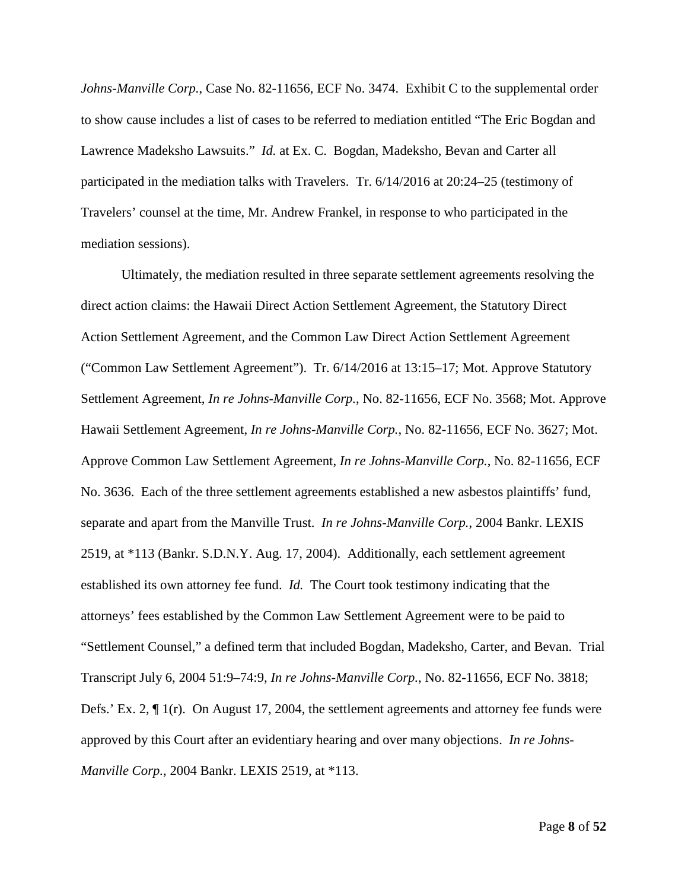*Johns-Manville Corp.*, Case No. 82-11656, ECF No. 3474. Exhibit C to the supplemental order to show cause includes a list of cases to be referred to mediation entitled "The Eric Bogdan and Lawrence Madeksho Lawsuits." *Id.* at Ex. C. Bogdan, Madeksho, Bevan and Carter all participated in the mediation talks with Travelers. Tr. 6/14/2016 at 20:24–25 (testimony of Travelers' counsel at the time, Mr. Andrew Frankel, in response to who participated in the mediation sessions).

Ultimately, the mediation resulted in three separate settlement agreements resolving the direct action claims: the Hawaii Direct Action Settlement Agreement, the Statutory Direct Action Settlement Agreement, and the Common Law Direct Action Settlement Agreement ("Common Law Settlement Agreement"). Tr. 6/14/2016 at 13:15–17; Mot. Approve Statutory Settlement Agreement, *In re Johns-Manville Corp.*, No. 82-11656, ECF No. 3568; Mot. Approve Hawaii Settlement Agreement, *In re Johns-Manville Corp.*, No. 82-11656, ECF No. 3627; Mot. Approve Common Law Settlement Agreement, *In re Johns-Manville Corp.*, No. 82-11656, ECF No. 3636. Each of the three settlement agreements established a new asbestos plaintiffs' fund, separate and apart from the Manville Trust. *In re Johns-Manville Corp.*, 2004 Bankr. LEXIS 2519, at \*113 (Bankr. S.D.N.Y. Aug. 17, 2004). Additionally, each settlement agreement established its own attorney fee fund. *Id.* The Court took testimony indicating that the attorneys' fees established by the Common Law Settlement Agreement were to be paid to "Settlement Counsel," a defined term that included Bogdan, Madeksho, Carter, and Bevan. Trial Transcript July 6, 2004 51:9–74:9, *In re Johns-Manville Corp.*, No. 82-11656, ECF No. 3818; Defs.' Ex. 2, ¶ 1(r). On August 17, 2004, the settlement agreements and attorney fee funds were approved by this Court after an evidentiary hearing and over many objections. *In re Johns-Manville Corp.*, 2004 Bankr. LEXIS 2519, at \*113.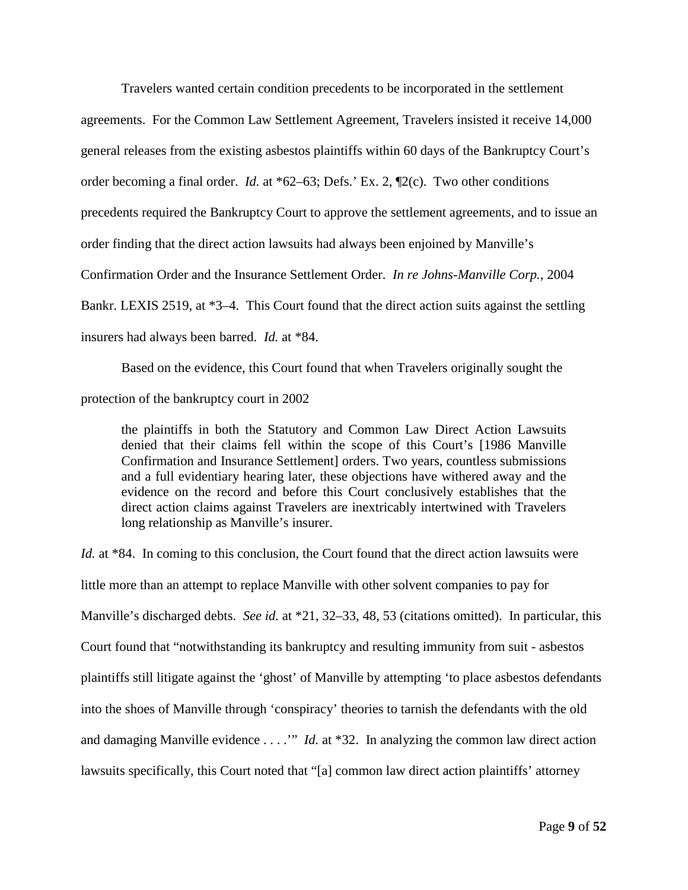Travelers wanted certain condition precedents to be incorporated in the settlement agreements. For the Common Law Settlement Agreement, Travelers insisted it receive 14,000 general releases from the existing asbestos plaintiffs within 60 days of the Bankruptcy Court's order becoming a final order. *Id.* at \*62–63; Defs.' Ex. 2, ¶2(c). Two other conditions precedents required the Bankruptcy Court to approve the settlement agreements, and to issue an order finding that the direct action lawsuits had always been enjoined by Manville's Confirmation Order and the Insurance Settlement Order. *In re Johns-Manville Corp.*, 2004 Bankr. LEXIS 2519, at \*3–4. This Court found that the direct action suits against the settling insurers had always been barred. *Id.* at \*84.

Based on the evidence, this Court found that when Travelers originally sought the protection of the bankruptcy court in 2002

the plaintiffs in both the Statutory and Common Law Direct Action Lawsuits denied that their claims fell within the scope of this Court's [1986 Manville Confirmation and Insurance Settlement] orders. Two years, countless submissions and a full evidentiary hearing later, these objections have withered away and the evidence on the record and before this Court conclusively establishes that the direct action claims against Travelers are inextricably intertwined with Travelers long relationship as Manville's insurer.

Id. at \*84. In coming to this conclusion, the Court found that the direct action lawsuits were little more than an attempt to replace Manville with other solvent companies to pay for Manville's discharged debts. *See id.* at \*21, 32–33, 48, 53 (citations omitted). In particular, this Court found that "notwithstanding its bankruptcy and resulting immunity from suit - asbestos plaintiffs still litigate against the 'ghost' of Manville by attempting 'to place asbestos defendants into the shoes of Manville through 'conspiracy' theories to tarnish the defendants with the old and damaging Manville evidence . . . .'" *Id.* at \*32. In analyzing the common law direct action lawsuits specifically, this Court noted that "[a] common law direct action plaintiffs' attorney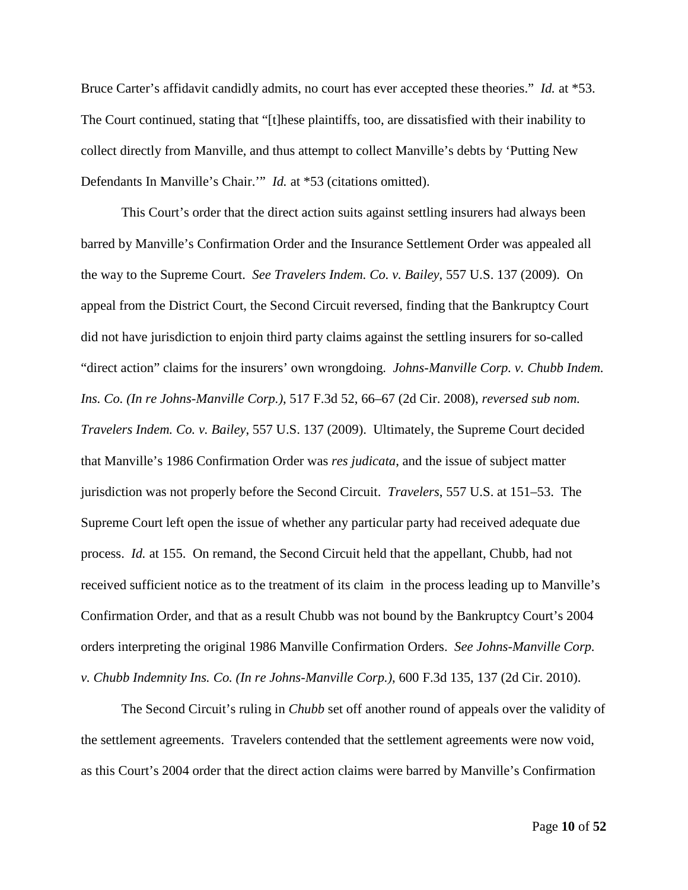Bruce Carter's affidavit candidly admits, no court has ever accepted these theories." *Id.* at \*53. The Court continued, stating that "[t]hese plaintiffs, too, are dissatisfied with their inability to collect directly from Manville, and thus attempt to collect Manville's debts by 'Putting New Defendants In Manville's Chair.'" *Id.* at \*53 (citations omitted).

This Court's order that the direct action suits against settling insurers had always been barred by Manville's Confirmation Order and the Insurance Settlement Order was appealed all the way to the Supreme Court. *See Travelers Indem. Co. v. Bailey*, 557 U.S. 137 (2009). On appeal from the District Court, the Second Circuit reversed, finding that the Bankruptcy Court did not have jurisdiction to enjoin third party claims against the settling insurers for so-called "direct action" claims for the insurers' own wrongdoing. *Johns-Manville Corp. v. Chubb Indem. Ins. Co. (In re Johns-Manville Corp.)*, 517 F.3d 52, 66–67 (2d Cir. 2008), *reversed sub nom. Travelers Indem. Co. v. Bailey*, 557 U.S. 137 (2009). Ultimately, the Supreme Court decided that Manville's 1986 Confirmation Order was *res judicata*, and the issue of subject matter jurisdiction was not properly before the Second Circuit. *Travelers*, 557 U.S. at 151–53. The Supreme Court left open the issue of whether any particular party had received adequate due process. *Id.* at 155. On remand, the Second Circuit held that the appellant, Chubb, had not received sufficient notice as to the treatment of its claim in the process leading up to Manville's Confirmation Order, and that as a result Chubb was not bound by the Bankruptcy Court's 2004 orders interpreting the original 1986 Manville Confirmation Orders. *See Johns-Manville Corp. v. Chubb Indemnity Ins. Co. (In re Johns-Manville Corp.)*, 600 F.3d 135, 137 (2d Cir. 2010).

The Second Circuit's ruling in *Chubb* set off another round of appeals over the validity of the settlement agreements. Travelers contended that the settlement agreements were now void, as this Court's 2004 order that the direct action claims were barred by Manville's Confirmation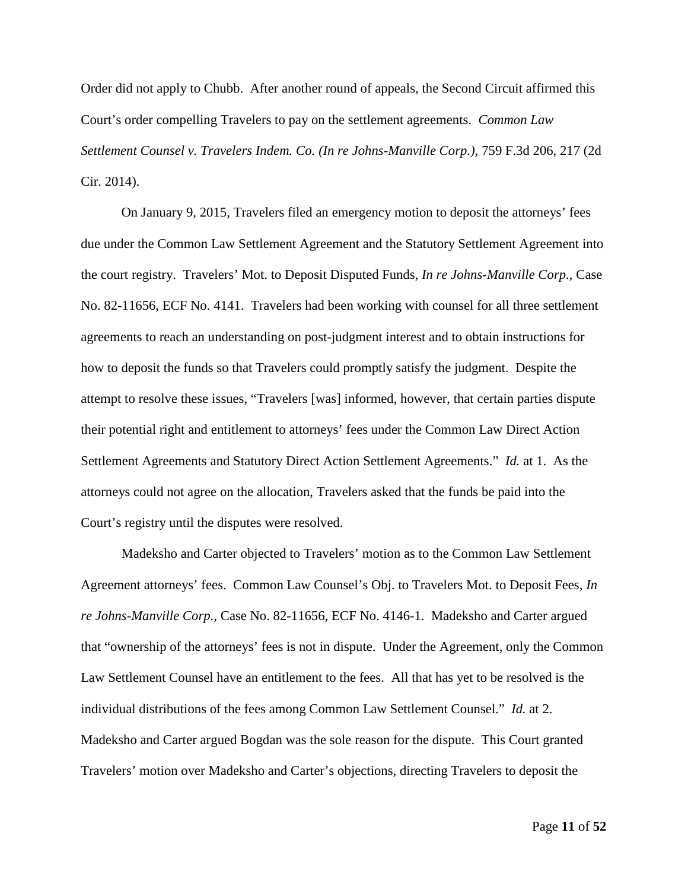Order did not apply to Chubb. After another round of appeals, the Second Circuit affirmed this Court's order compelling Travelers to pay on the settlement agreements. *Common Law Settlement Counsel v. Travelers Indem. Co. (In re Johns-Manville Corp.)*, 759 F.3d 206, 217 (2d Cir. 2014).

On January 9, 2015, Travelers filed an emergency motion to deposit the attorneys' fees due under the Common Law Settlement Agreement and the Statutory Settlement Agreement into the court registry. Travelers' Mot. to Deposit Disputed Funds, *In re Johns-Manville Corp.*, Case No. 82-11656, ECF No. 4141. Travelers had been working with counsel for all three settlement agreements to reach an understanding on post-judgment interest and to obtain instructions for how to deposit the funds so that Travelers could promptly satisfy the judgment. Despite the attempt to resolve these issues, "Travelers [was] informed, however, that certain parties dispute their potential right and entitlement to attorneys' fees under the Common Law Direct Action Settlement Agreements and Statutory Direct Action Settlement Agreements." *Id.* at 1. As the attorneys could not agree on the allocation, Travelers asked that the funds be paid into the Court's registry until the disputes were resolved.

Madeksho and Carter objected to Travelers' motion as to the Common Law Settlement Agreement attorneys' fees. Common Law Counsel's Obj. to Travelers Mot. to Deposit Fees, *In re Johns-Manville Corp.*, Case No. 82-11656, ECF No. 4146-1. Madeksho and Carter argued that "ownership of the attorneys' fees is not in dispute. Under the Agreement, only the Common Law Settlement Counsel have an entitlement to the fees. All that has yet to be resolved is the individual distributions of the fees among Common Law Settlement Counsel." *Id.* at 2. Madeksho and Carter argued Bogdan was the sole reason for the dispute. This Court granted Travelers' motion over Madeksho and Carter's objections, directing Travelers to deposit the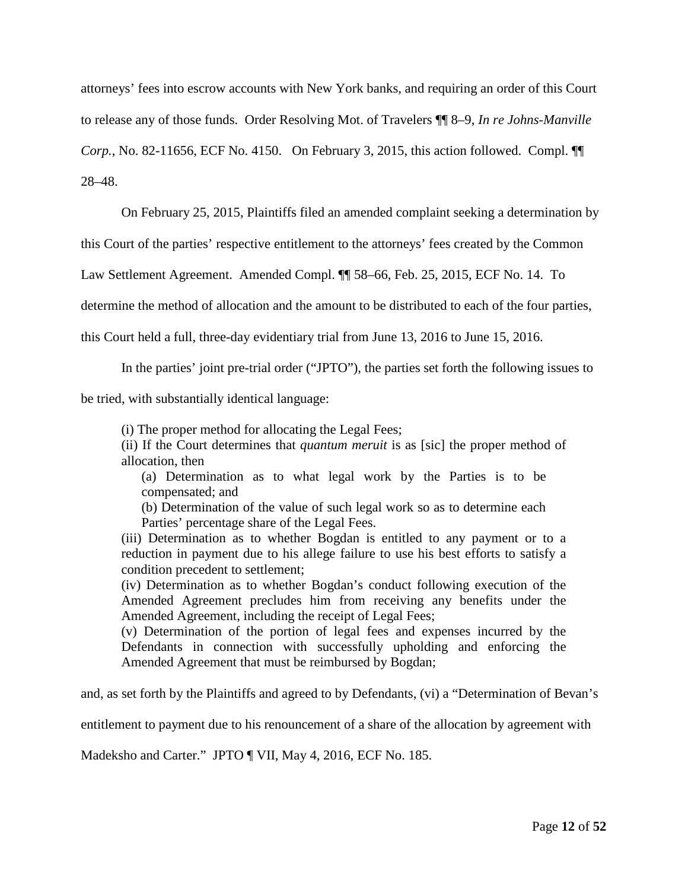attorneys' fees into escrow accounts with New York banks, and requiring an order of this Court to release any of those funds. Order Resolving Mot. of Travelers ¶¶ 8–9, *In re Johns-Manville Corp.*, No. 82-11656, ECF No. 4150. On February 3, 2015, this action followed. Compl. ¶¶ 28–48.

On February 25, 2015, Plaintiffs filed an amended complaint seeking a determination by

this Court of the parties' respective entitlement to the attorneys' fees created by the Common

Law Settlement Agreement. Amended Compl. ¶¶ 58–66, Feb. 25, 2015, ECF No. 14. To

determine the method of allocation and the amount to be distributed to each of the four parties,

this Court held a full, three-day evidentiary trial from June 13, 2016 to June 15, 2016.

In the parties' joint pre-trial order ("JPTO"), the parties set forth the following issues to

be tried, with substantially identical language:

(i) The proper method for allocating the Legal Fees;

(ii) If the Court determines that *quantum meruit* is as [sic] the proper method of allocation, then

(a) Determination as to what legal work by the Parties is to be compensated; and

(b) Determination of the value of such legal work so as to determine each Parties' percentage share of the Legal Fees.

(iii) Determination as to whether Bogdan is entitled to any payment or to a reduction in payment due to his allege failure to use his best efforts to satisfy a condition precedent to settlement;

(iv) Determination as to whether Bogdan's conduct following execution of the Amended Agreement precludes him from receiving any benefits under the Amended Agreement, including the receipt of Legal Fees;

(v) Determination of the portion of legal fees and expenses incurred by the Defendants in connection with successfully upholding and enforcing the Amended Agreement that must be reimbursed by Bogdan;

and, as set forth by the Plaintiffs and agreed to by Defendants, (vi) a "Determination of Bevan's

entitlement to payment due to his renouncement of a share of the allocation by agreement with

Madeksho and Carter." JPTO ¶ VII, May 4, 2016, ECF No. 185.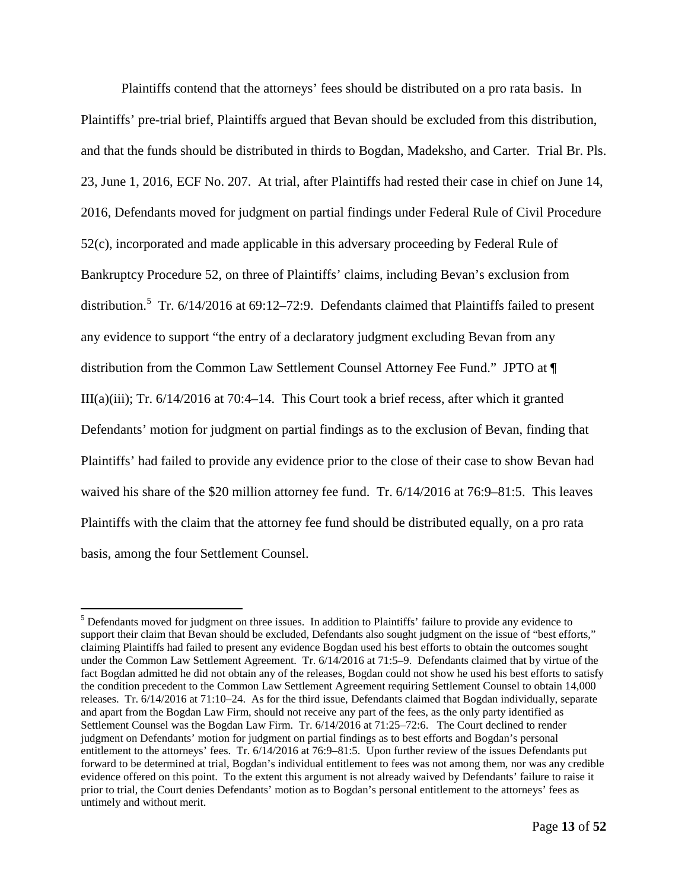Plaintiffs contend that the attorneys' fees should be distributed on a pro rata basis. In Plaintiffs' pre-trial brief, Plaintiffs argued that Bevan should be excluded from this distribution, and that the funds should be distributed in thirds to Bogdan, Madeksho, and Carter. Trial Br. Pls. 23, June 1, 2016, ECF No. 207. At trial, after Plaintiffs had rested their case in chief on June 14, 2016, Defendants moved for judgment on partial findings under Federal Rule of Civil Procedure 52(c), incorporated and made applicable in this adversary proceeding by Federal Rule of Bankruptcy Procedure 52, on three of Plaintiffs' claims, including Bevan's exclusion from distribution.<sup>[5](#page-12-0)</sup> Tr. 6/14/2016 at 69:12–72:9. Defendants claimed that Plaintiffs failed to present any evidence to support "the entry of a declaratory judgment excluding Bevan from any distribution from the Common Law Settlement Counsel Attorney Fee Fund." JPTO at ¶ III(a)(iii); Tr. 6/14/2016 at 70:4–14. This Court took a brief recess, after which it granted Defendants' motion for judgment on partial findings as to the exclusion of Bevan, finding that Plaintiffs' had failed to provide any evidence prior to the close of their case to show Bevan had waived his share of the \$20 million attorney fee fund. Tr. 6/14/2016 at 76:9–81:5. This leaves Plaintiffs with the claim that the attorney fee fund should be distributed equally, on a pro rata basis, among the four Settlement Counsel.

<span id="page-12-0"></span><sup>&</sup>lt;sup>5</sup> Defendants moved for judgment on three issues. In addition to Plaintiffs' failure to provide any evidence to support their claim that Bevan should be excluded, Defendants also sought judgment on the issue of "best efforts," claiming Plaintiffs had failed to present any evidence Bogdan used his best efforts to obtain the outcomes sought under the Common Law Settlement Agreement. Tr. 6/14/2016 at 71:5–9. Defendants claimed that by virtue of the fact Bogdan admitted he did not obtain any of the releases, Bogdan could not show he used his best efforts to satisfy the condition precedent to the Common Law Settlement Agreement requiring Settlement Counsel to obtain 14,000 releases. Tr. 6/14/2016 at 71:10–24. As for the third issue, Defendants claimed that Bogdan individually, separate and apart from the Bogdan Law Firm, should not receive any part of the fees, as the only party identified as Settlement Counsel was the Bogdan Law Firm. Tr. 6/14/2016 at 71:25–72:6. The Court declined to render judgment on Defendants' motion for judgment on partial findings as to best efforts and Bogdan's personal entitlement to the attorneys' fees. Tr. 6/14/2016 at 76:9–81:5. Upon further review of the issues Defendants put forward to be determined at trial, Bogdan's individual entitlement to fees was not among them, nor was any credible evidence offered on this point. To the extent this argument is not already waived by Defendants' failure to raise it prior to trial, the Court denies Defendants' motion as to Bogdan's personal entitlement to the attorneys' fees as untimely and without merit.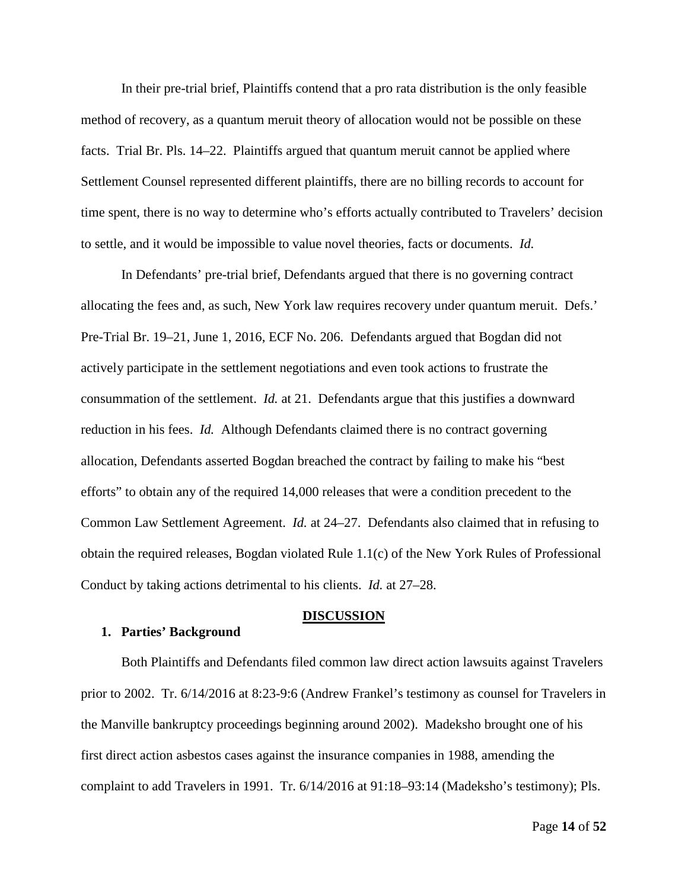In their pre-trial brief, Plaintiffs contend that a pro rata distribution is the only feasible method of recovery, as a quantum meruit theory of allocation would not be possible on these facts. Trial Br. Pls. 14–22. Plaintiffs argued that quantum meruit cannot be applied where Settlement Counsel represented different plaintiffs, there are no billing records to account for time spent, there is no way to determine who's efforts actually contributed to Travelers' decision to settle, and it would be impossible to value novel theories, facts or documents. *Id.*

In Defendants' pre-trial brief, Defendants argued that there is no governing contract allocating the fees and, as such, New York law requires recovery under quantum meruit. Defs.' Pre-Trial Br. 19–21, June 1, 2016, ECF No. 206. Defendants argued that Bogdan did not actively participate in the settlement negotiations and even took actions to frustrate the consummation of the settlement. *Id.* at 21. Defendants argue that this justifies a downward reduction in his fees. *Id.* Although Defendants claimed there is no contract governing allocation, Defendants asserted Bogdan breached the contract by failing to make his "best efforts" to obtain any of the required 14,000 releases that were a condition precedent to the Common Law Settlement Agreement. *Id.* at 24–27. Defendants also claimed that in refusing to obtain the required releases, Bogdan violated Rule 1.1(c) of the New York Rules of Professional Conduct by taking actions detrimental to his clients. *Id.* at 27–28.

#### **DISCUSSION**

## **1. Parties' Background**

Both Plaintiffs and Defendants filed common law direct action lawsuits against Travelers prior to 2002. Tr. 6/14/2016 at 8:23-9:6 (Andrew Frankel's testimony as counsel for Travelers in the Manville bankruptcy proceedings beginning around 2002). Madeksho brought one of his first direct action asbestos cases against the insurance companies in 1988, amending the complaint to add Travelers in 1991. Tr. 6/14/2016 at 91:18–93:14 (Madeksho's testimony); Pls.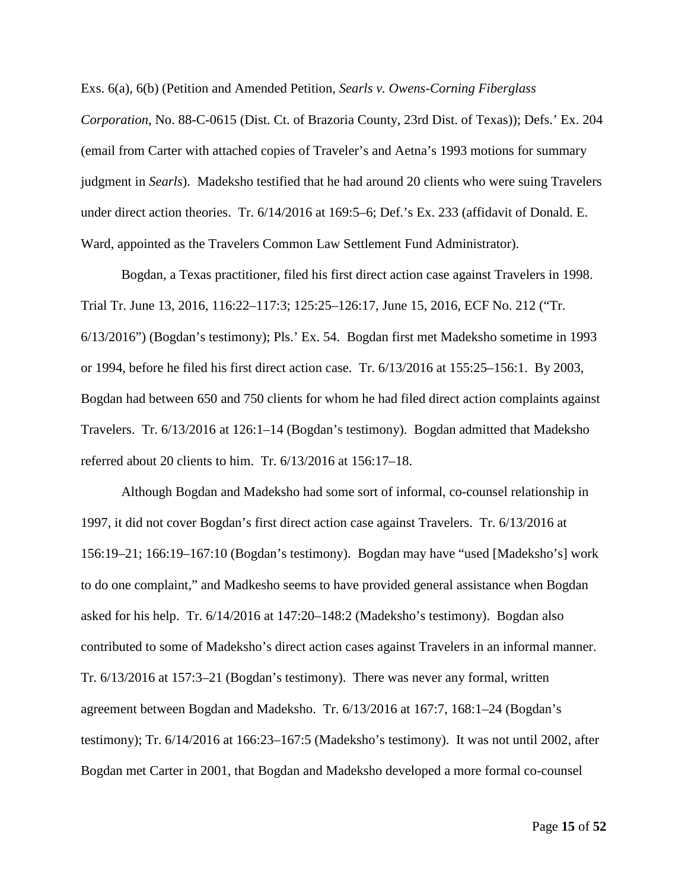Exs. 6(a), 6(b) (Petition and Amended Petition, *Searls v. Owens-Corning Fiberglass Corporation*, No. 88-C-0615 (Dist. Ct. of Brazoria County, 23rd Dist. of Texas)); Defs.' Ex. 204 (email from Carter with attached copies of Traveler's and Aetna's 1993 motions for summary judgment in *Searls*). Madeksho testified that he had around 20 clients who were suing Travelers under direct action theories. Tr. 6/14/2016 at 169:5–6; Def.'s Ex. 233 (affidavit of Donald. E. Ward, appointed as the Travelers Common Law Settlement Fund Administrator).

Bogdan, a Texas practitioner, filed his first direct action case against Travelers in 1998. Trial Tr. June 13, 2016, 116:22–117:3; 125:25–126:17, June 15, 2016, ECF No. 212 ("Tr. 6/13/2016") (Bogdan's testimony); Pls.' Ex. 54. Bogdan first met Madeksho sometime in 1993 or 1994, before he filed his first direct action case. Tr. 6/13/2016 at 155:25–156:1. By 2003, Bogdan had between 650 and 750 clients for whom he had filed direct action complaints against Travelers. Tr. 6/13/2016 at 126:1–14 (Bogdan's testimony). Bogdan admitted that Madeksho referred about 20 clients to him. Tr. 6/13/2016 at 156:17–18.

Although Bogdan and Madeksho had some sort of informal, co-counsel relationship in 1997, it did not cover Bogdan's first direct action case against Travelers. Tr. 6/13/2016 at 156:19–21; 166:19–167:10 (Bogdan's testimony). Bogdan may have "used [Madeksho's] work to do one complaint," and Madkesho seems to have provided general assistance when Bogdan asked for his help. Tr. 6/14/2016 at 147:20–148:2 (Madeksho's testimony). Bogdan also contributed to some of Madeksho's direct action cases against Travelers in an informal manner. Tr. 6/13/2016 at 157:3–21 (Bogdan's testimony). There was never any formal, written agreement between Bogdan and Madeksho. Tr. 6/13/2016 at 167:7, 168:1–24 (Bogdan's testimony); Tr. 6/14/2016 at 166:23–167:5 (Madeksho's testimony). It was not until 2002, after Bogdan met Carter in 2001, that Bogdan and Madeksho developed a more formal co-counsel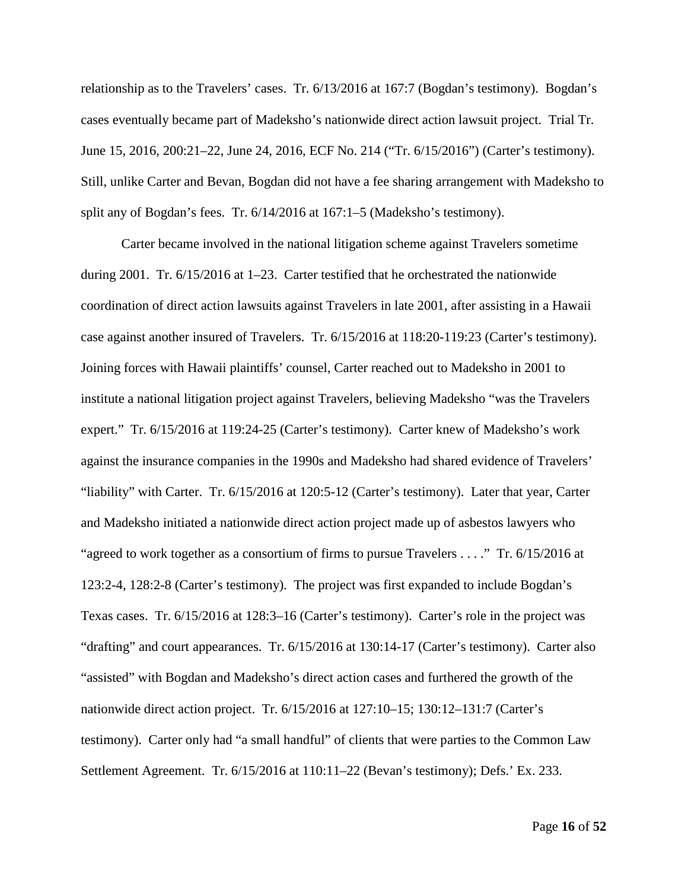relationship as to the Travelers' cases. Tr. 6/13/2016 at 167:7 (Bogdan's testimony). Bogdan's cases eventually became part of Madeksho's nationwide direct action lawsuit project. Trial Tr. June 15, 2016, 200:21–22, June 24, 2016, ECF No. 214 ("Tr. 6/15/2016") (Carter's testimony). Still, unlike Carter and Bevan, Bogdan did not have a fee sharing arrangement with Madeksho to split any of Bogdan's fees. Tr. 6/14/2016 at 167:1–5 (Madeksho's testimony).

Carter became involved in the national litigation scheme against Travelers sometime during 2001. Tr. 6/15/2016 at 1–23. Carter testified that he orchestrated the nationwide coordination of direct action lawsuits against Travelers in late 2001, after assisting in a Hawaii case against another insured of Travelers. Tr. 6/15/2016 at 118:20-119:23 (Carter's testimony). Joining forces with Hawaii plaintiffs' counsel, Carter reached out to Madeksho in 2001 to institute a national litigation project against Travelers, believing Madeksho "was the Travelers expert." Tr. 6/15/2016 at 119:24-25 (Carter's testimony). Carter knew of Madeksho's work against the insurance companies in the 1990s and Madeksho had shared evidence of Travelers' "liability" with Carter. Tr. 6/15/2016 at 120:5-12 (Carter's testimony). Later that year, Carter and Madeksho initiated a nationwide direct action project made up of asbestos lawyers who "agreed to work together as a consortium of firms to pursue Travelers . . . ." Tr. 6/15/2016 at 123:2-4, 128:2-8 (Carter's testimony). The project was first expanded to include Bogdan's Texas cases. Tr. 6/15/2016 at 128:3–16 (Carter's testimony). Carter's role in the project was "drafting" and court appearances. Tr. 6/15/2016 at 130:14-17 (Carter's testimony). Carter also "assisted" with Bogdan and Madeksho's direct action cases and furthered the growth of the nationwide direct action project. Tr. 6/15/2016 at 127:10–15; 130:12–131:7 (Carter's testimony). Carter only had "a small handful" of clients that were parties to the Common Law Settlement Agreement. Tr. 6/15/2016 at 110:11–22 (Bevan's testimony); Defs.' Ex. 233.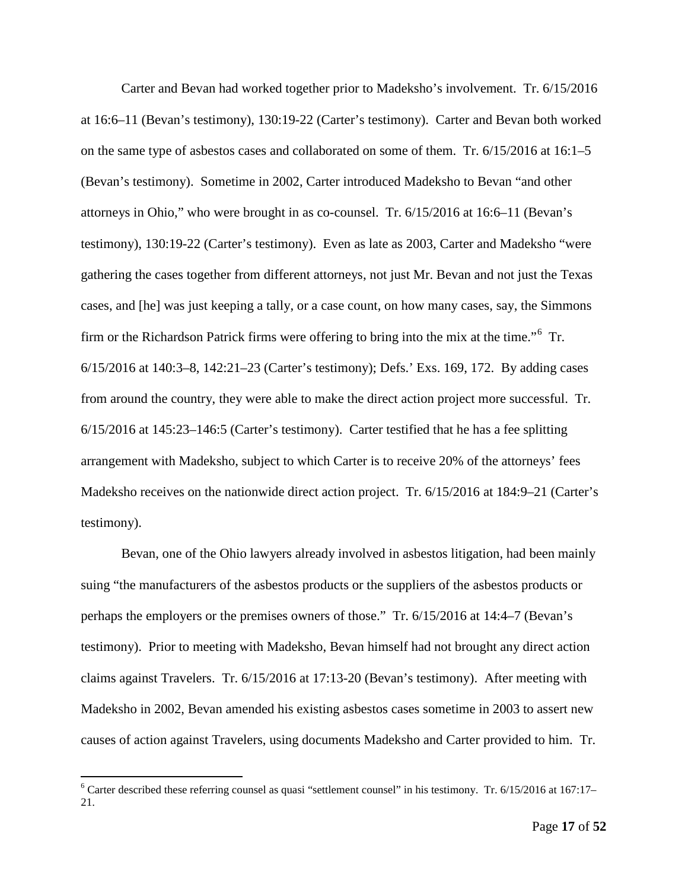Carter and Bevan had worked together prior to Madeksho's involvement. Tr. 6/15/2016 at 16:6–11 (Bevan's testimony), 130:19-22 (Carter's testimony). Carter and Bevan both worked on the same type of asbestos cases and collaborated on some of them. Tr. 6/15/2016 at 16:1–5 (Bevan's testimony). Sometime in 2002, Carter introduced Madeksho to Bevan "and other attorneys in Ohio," who were brought in as co-counsel. Tr. 6/15/2016 at 16:6–11 (Bevan's testimony), 130:19-22 (Carter's testimony). Even as late as 2003, Carter and Madeksho "were gathering the cases together from different attorneys, not just Mr. Bevan and not just the Texas cases, and [he] was just keeping a tally, or a case count, on how many cases, say, the Simmons firm or the Richardson Patrick firms were offering to bring into the mix at the time."<sup>[6](#page-16-0)</sup> Tr. 6/15/2016 at 140:3–8, 142:21–23 (Carter's testimony); Defs.' Exs. 169, 172. By adding cases from around the country, they were able to make the direct action project more successful. Tr. 6/15/2016 at 145:23–146:5 (Carter's testimony). Carter testified that he has a fee splitting arrangement with Madeksho, subject to which Carter is to receive 20% of the attorneys' fees Madeksho receives on the nationwide direct action project. Tr. 6/15/2016 at 184:9–21 (Carter's testimony).

Bevan, one of the Ohio lawyers already involved in asbestos litigation, had been mainly suing "the manufacturers of the asbestos products or the suppliers of the asbestos products or perhaps the employers or the premises owners of those." Tr. 6/15/2016 at 14:4–7 (Bevan's testimony). Prior to meeting with Madeksho, Bevan himself had not brought any direct action claims against Travelers. Tr. 6/15/2016 at 17:13-20 (Bevan's testimony). After meeting with Madeksho in 2002, Bevan amended his existing asbestos cases sometime in 2003 to assert new causes of action against Travelers, using documents Madeksho and Carter provided to him. Tr.

<span id="page-16-0"></span> $6$  Carter described these referring counsel as quasi "settlement counsel" in his testimony. Tr.  $6/15/2016$  at  $167:17-$ 21.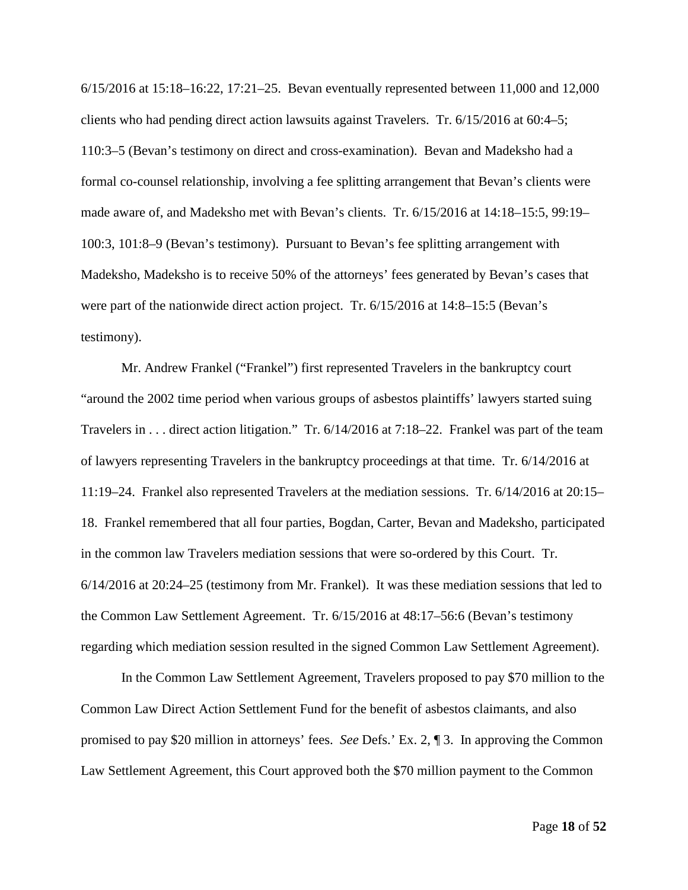6/15/2016 at 15:18–16:22, 17:21–25. Bevan eventually represented between 11,000 and 12,000 clients who had pending direct action lawsuits against Travelers. Tr. 6/15/2016 at 60:4–5; 110:3–5 (Bevan's testimony on direct and cross-examination). Bevan and Madeksho had a formal co-counsel relationship, involving a fee splitting arrangement that Bevan's clients were made aware of, and Madeksho met with Bevan's clients. Tr. 6/15/2016 at 14:18–15:5, 99:19– 100:3, 101:8–9 (Bevan's testimony). Pursuant to Bevan's fee splitting arrangement with Madeksho, Madeksho is to receive 50% of the attorneys' fees generated by Bevan's cases that were part of the nationwide direct action project. Tr. 6/15/2016 at 14:8–15:5 (Bevan's testimony).

Mr. Andrew Frankel ("Frankel") first represented Travelers in the bankruptcy court "around the 2002 time period when various groups of asbestos plaintiffs' lawyers started suing Travelers in . . . direct action litigation." Tr. 6/14/2016 at 7:18–22. Frankel was part of the team of lawyers representing Travelers in the bankruptcy proceedings at that time. Tr. 6/14/2016 at 11:19–24. Frankel also represented Travelers at the mediation sessions. Tr. 6/14/2016 at 20:15– 18. Frankel remembered that all four parties, Bogdan, Carter, Bevan and Madeksho, participated in the common law Travelers mediation sessions that were so-ordered by this Court. Tr. 6/14/2016 at 20:24–25 (testimony from Mr. Frankel). It was these mediation sessions that led to the Common Law Settlement Agreement. Tr. 6/15/2016 at 48:17–56:6 (Bevan's testimony regarding which mediation session resulted in the signed Common Law Settlement Agreement).

In the Common Law Settlement Agreement, Travelers proposed to pay \$70 million to the Common Law Direct Action Settlement Fund for the benefit of asbestos claimants, and also promised to pay \$20 million in attorneys' fees. *See* Defs.' Ex. 2, ¶ 3. In approving the Common Law Settlement Agreement, this Court approved both the \$70 million payment to the Common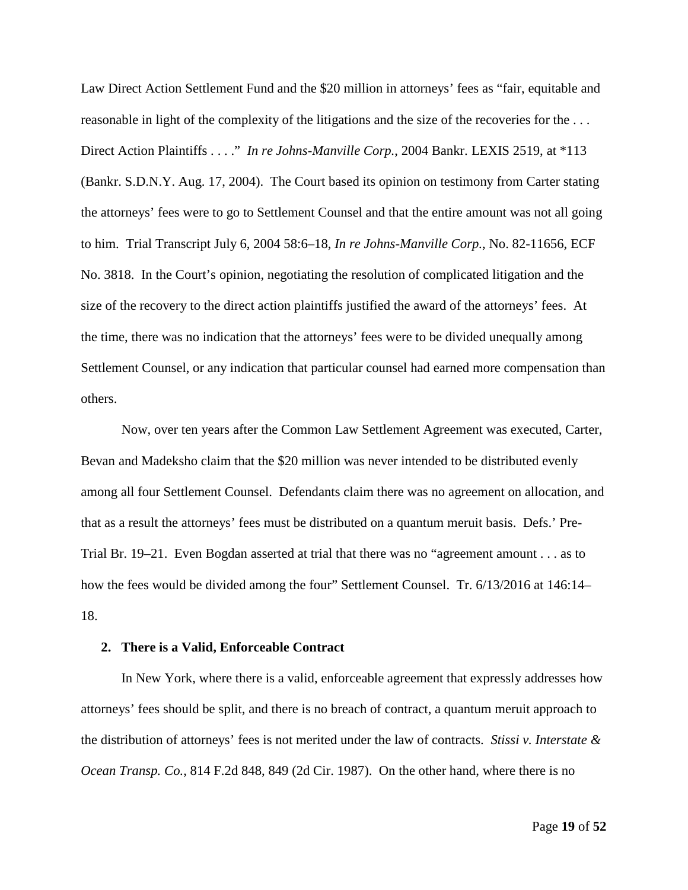Law Direct Action Settlement Fund and the \$20 million in attorneys' fees as "fair, equitable and reasonable in light of the complexity of the litigations and the size of the recoveries for the . . . Direct Action Plaintiffs . . . ." *In re Johns-Manville Corp.*, 2004 Bankr. LEXIS 2519, at \*113 (Bankr. S.D.N.Y. Aug. 17, 2004). The Court based its opinion on testimony from Carter stating the attorneys' fees were to go to Settlement Counsel and that the entire amount was not all going to him. Trial Transcript July 6, 2004 58:6–18, *In re Johns-Manville Corp.*, No. 82-11656, ECF No. 3818. In the Court's opinion, negotiating the resolution of complicated litigation and the size of the recovery to the direct action plaintiffs justified the award of the attorneys' fees. At the time, there was no indication that the attorneys' fees were to be divided unequally among Settlement Counsel, or any indication that particular counsel had earned more compensation than others.

Now, over ten years after the Common Law Settlement Agreement was executed, Carter, Bevan and Madeksho claim that the \$20 million was never intended to be distributed evenly among all four Settlement Counsel. Defendants claim there was no agreement on allocation, and that as a result the attorneys' fees must be distributed on a quantum meruit basis. Defs.' Pre-Trial Br. 19–21. Even Bogdan asserted at trial that there was no "agreement amount . . . as to how the fees would be divided among the four" Settlement Counsel. Tr. 6/13/2016 at 146:14– 18.

#### **2. There is a Valid, Enforceable Contract**

In New York, where there is a valid, enforceable agreement that expressly addresses how attorneys' fees should be split, and there is no breach of contract, a quantum meruit approach to the distribution of attorneys' fees is not merited under the law of contracts. *Stissi v. Interstate & Ocean Transp. Co.*, 814 F.2d 848, 849 (2d Cir. 1987). On the other hand, where there is no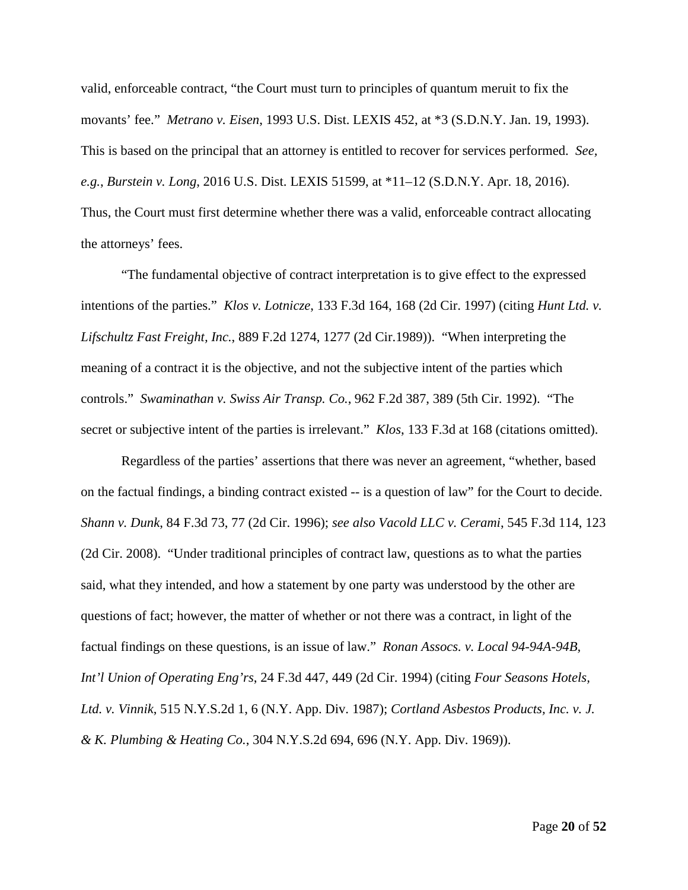valid, enforceable contract, "the Court must turn to principles of quantum meruit to fix the movants' fee." *Metrano v. Eisen*, 1993 U.S. Dist. LEXIS 452, at \*3 (S.D.N.Y. Jan. 19, 1993). This is based on the principal that an attorney is entitled to recover for services performed. *See, e.g.*, *Burstein v. Long*, 2016 U.S. Dist. LEXIS 51599, at \*11–12 (S.D.N.Y. Apr. 18, 2016). Thus, the Court must first determine whether there was a valid, enforceable contract allocating the attorneys' fees.

"The fundamental objective of contract interpretation is to give effect to the expressed intentions of the parties." *Klos v. Lotnicze*, 133 F.3d 164, 168 (2d Cir. 1997) (citing *Hunt Ltd. v. Lifschultz Fast Freight, Inc.*, 889 F.2d 1274, 1277 (2d Cir.1989)). "When interpreting the meaning of a contract it is the objective, and not the subjective intent of the parties which controls." *Swaminathan v. Swiss Air Transp. Co.*, 962 F.2d 387, 389 (5th Cir. 1992). "The secret or subjective intent of the parties is irrelevant." *Klos*, 133 F.3d at 168 (citations omitted).

Regardless of the parties' assertions that there was never an agreement, "whether, based on the factual findings, a binding contract existed -- is a question of law" for the Court to decide. *Shann v. Dunk*, 84 F.3d 73, 77 (2d Cir. 1996); *see also Vacold LLC v. Cerami*, 545 F.3d 114, 123 (2d Cir. 2008). "Under traditional principles of contract law, questions as to what the parties said, what they intended, and how a statement by one party was understood by the other are questions of fact; however, the matter of whether or not there was a contract, in light of the factual findings on these questions, is an issue of law." *Ronan Assocs. v. Local 94-94A-94B, Int'l Union of Operating Eng'rs*, 24 F.3d 447, 449 (2d Cir. 1994) (citing *Four Seasons Hotels, Ltd. v. Vinnik*, 515 N.Y.S.2d 1, 6 (N.Y. App. Div. 1987); *Cortland Asbestos Products, Inc. v. J. & K. Plumbing & Heating Co.*, 304 N.Y.S.2d 694, 696 (N.Y. App. Div. 1969)).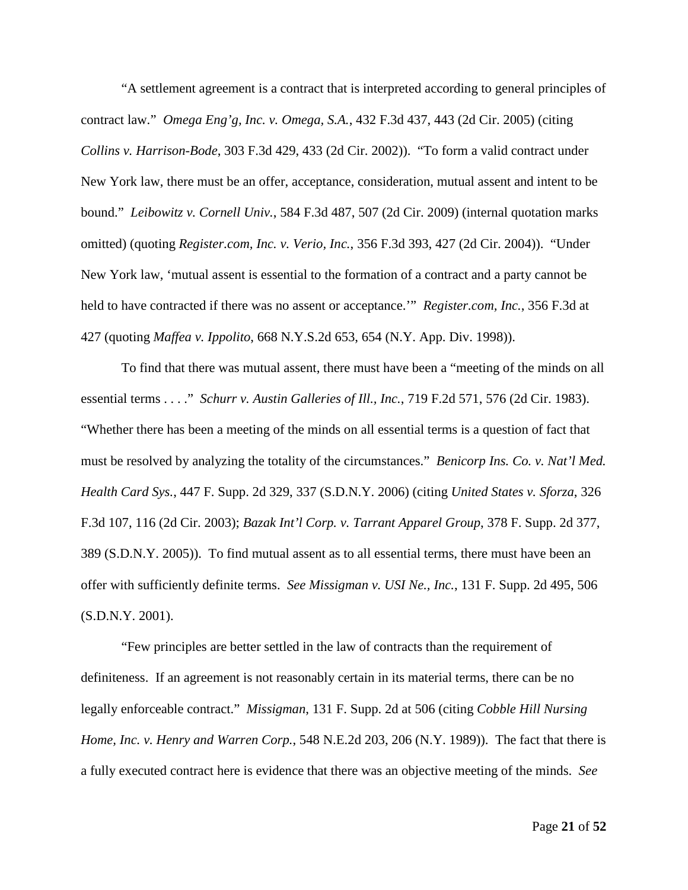"A settlement agreement is a contract that is interpreted according to general principles of contract law." *Omega Eng'g, Inc. v. Omega, S.A.*, 432 F.3d 437, 443 (2d Cir. 2005) (citing *Collins v. Harrison-Bode*, 303 F.3d 429, 433 (2d Cir. 2002)). "To form a valid contract under New York law, there must be an offer, acceptance, consideration, mutual assent and intent to be bound." *Leibowitz v. Cornell Univ.*, 584 F.3d 487, 507 (2d Cir. 2009) (internal quotation marks omitted) (quoting *Register.com, Inc. v. Verio, Inc.*, 356 F.3d 393, 427 (2d Cir. 2004)). "Under New York law, 'mutual assent is essential to the formation of a contract and a party cannot be held to have contracted if there was no assent or acceptance.'" *Register.com, Inc.*, 356 F.3d at 427 (quoting *Maffea v. Ippolito*, 668 N.Y.S.2d 653, 654 (N.Y. App. Div. 1998)).

To find that there was mutual assent, there must have been a "meeting of the minds on all essential terms . . . ." *Schurr v. Austin Galleries of Ill., Inc.*, 719 F.2d 571, 576 (2d Cir. 1983). "Whether there has been a meeting of the minds on all essential terms is a question of fact that must be resolved by analyzing the totality of the circumstances." *Benicorp Ins. Co. v. Nat'l Med. Health Card Sys.*, 447 F. Supp. 2d 329, 337 (S.D.N.Y. 2006) (citing *United States v. Sforza*, 326 F.3d 107, 116 (2d Cir. 2003); *Bazak Int'l Corp. v. Tarrant Apparel Group*, 378 F. Supp. 2d 377, 389 (S.D.N.Y. 2005)). To find mutual assent as to all essential terms, there must have been an offer with sufficiently definite terms. *See Missigman v. USI Ne., Inc.*, 131 F. Supp. 2d 495, 506 (S.D.N.Y. 2001).

"Few principles are better settled in the law of contracts than the requirement of definiteness. If an agreement is not reasonably certain in its material terms, there can be no legally enforceable contract." *Missigman*, 131 F. Supp. 2d at 506 (citing *Cobble Hill Nursing Home, Inc. v. Henry and Warren Corp.*, 548 N.E.2d 203, 206 (N.Y. 1989)). The fact that there is a fully executed contract here is evidence that there was an objective meeting of the minds. *See*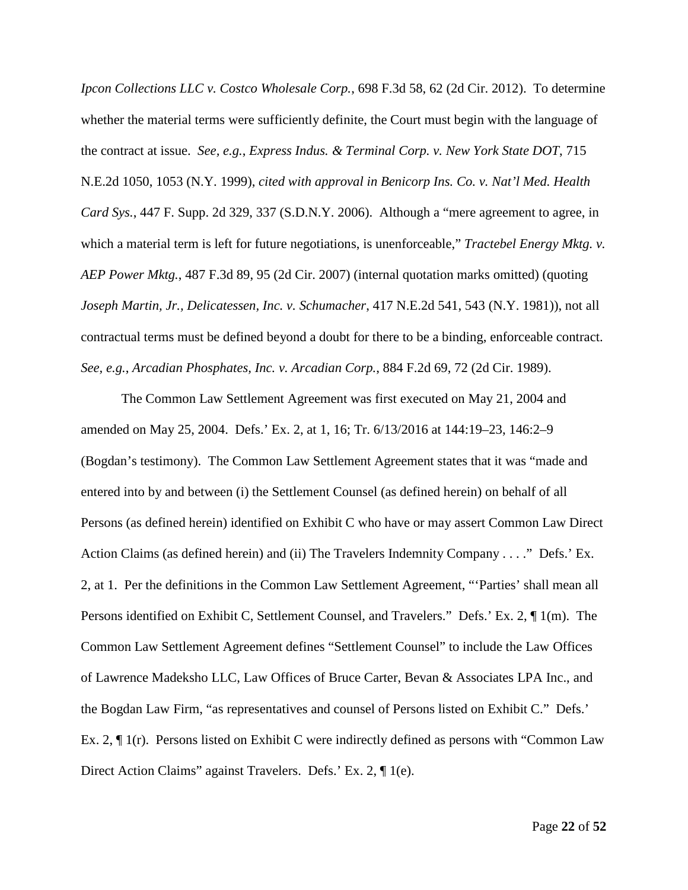*Ipcon Collections LLC v. Costco Wholesale Corp.*, 698 F.3d 58, 62 (2d Cir. 2012). To determine whether the material terms were sufficiently definite, the Court must begin with the language of the contract at issue. *See, e.g.*, *Express Indus. & Terminal Corp. v. New York State DOT*, 715 N.E.2d 1050, 1053 (N.Y. 1999), *cited with approval in Benicorp Ins. Co. v. Nat'l Med. Health Card Sys.*, 447 F. Supp. 2d 329, 337 (S.D.N.Y. 2006). Although a "mere agreement to agree, in which a material term is left for future negotiations, is unenforceable," *Tractebel Energy Mktg. v. AEP Power Mktg.*, 487 F.3d 89, 95 (2d Cir. 2007) (internal quotation marks omitted) (quoting *Joseph Martin, Jr., Delicatessen, Inc. v. Schumacher*, 417 N.E.2d 541, 543 (N.Y. 1981)), not all contractual terms must be defined beyond a doubt for there to be a binding, enforceable contract. *See, e.g.*, *Arcadian Phosphates, Inc. v. Arcadian Corp.*, 884 F.2d 69, 72 (2d Cir. 1989).

The Common Law Settlement Agreement was first executed on May 21, 2004 and amended on May 25, 2004. Defs.' Ex. 2, at 1, 16; Tr. 6/13/2016 at 144:19–23, 146:2–9 (Bogdan's testimony). The Common Law Settlement Agreement states that it was "made and entered into by and between (i) the Settlement Counsel (as defined herein) on behalf of all Persons (as defined herein) identified on Exhibit C who have or may assert Common Law Direct Action Claims (as defined herein) and (ii) The Travelers Indemnity Company . . . ." Defs.' Ex. 2, at 1. Per the definitions in the Common Law Settlement Agreement, "'Parties' shall mean all Persons identified on Exhibit C, Settlement Counsel, and Travelers." Defs.' Ex. 2, ¶ 1(m). The Common Law Settlement Agreement defines "Settlement Counsel" to include the Law Offices of Lawrence Madeksho LLC, Law Offices of Bruce Carter, Bevan & Associates LPA Inc., and the Bogdan Law Firm, "as representatives and counsel of Persons listed on Exhibit C." Defs.' Ex. 2, ¶ 1(r). Persons listed on Exhibit C were indirectly defined as persons with "Common Law Direct Action Claims" against Travelers. Defs.' Ex. 2, ¶ 1(e).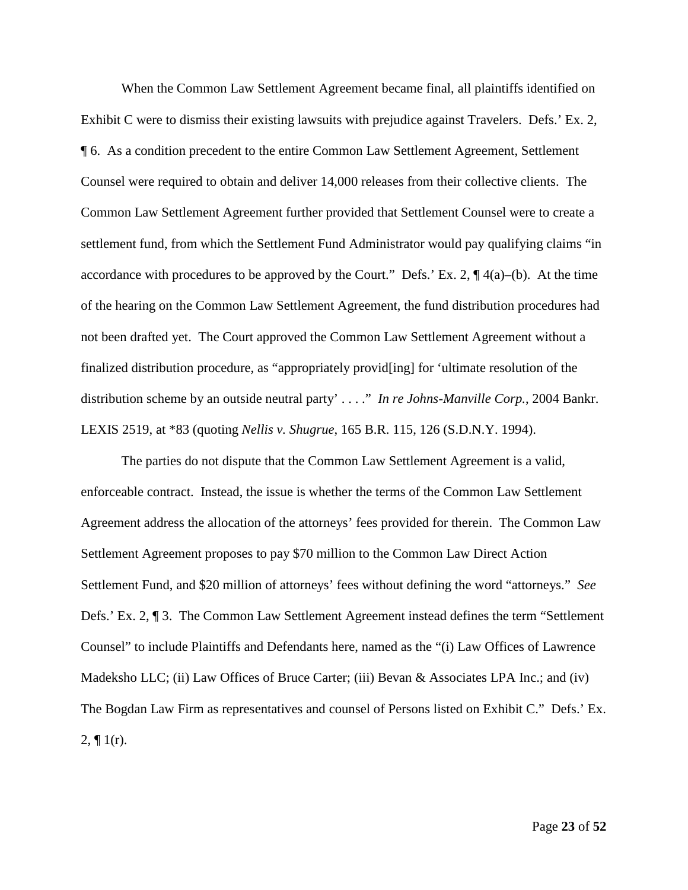When the Common Law Settlement Agreement became final, all plaintiffs identified on Exhibit C were to dismiss their existing lawsuits with prejudice against Travelers. Defs.' Ex. 2, ¶ 6. As a condition precedent to the entire Common Law Settlement Agreement, Settlement Counsel were required to obtain and deliver 14,000 releases from their collective clients. The Common Law Settlement Agreement further provided that Settlement Counsel were to create a settlement fund, from which the Settlement Fund Administrator would pay qualifying claims "in accordance with procedures to be approved by the Court." Defs.' Ex. 2,  $\P$ 4(a)–(b). At the time of the hearing on the Common Law Settlement Agreement, the fund distribution procedures had not been drafted yet. The Court approved the Common Law Settlement Agreement without a finalized distribution procedure, as "appropriately provid[ing] for 'ultimate resolution of the distribution scheme by an outside neutral party' . . . ." *In re Johns-Manville Corp.*, 2004 Bankr. LEXIS 2519, at \*83 (quoting *Nellis v. Shugrue*, 165 B.R. 115, 126 (S.D.N.Y. 1994).

The parties do not dispute that the Common Law Settlement Agreement is a valid, enforceable contract. Instead, the issue is whether the terms of the Common Law Settlement Agreement address the allocation of the attorneys' fees provided for therein. The Common Law Settlement Agreement proposes to pay \$70 million to the Common Law Direct Action Settlement Fund, and \$20 million of attorneys' fees without defining the word "attorneys." *See* Defs.' Ex. 2, ¶ 3. The Common Law Settlement Agreement instead defines the term "Settlement Counsel" to include Plaintiffs and Defendants here, named as the "(i) Law Offices of Lawrence Madeksho LLC; (ii) Law Offices of Bruce Carter; (iii) Bevan & Associates LPA Inc.; and (iv) The Bogdan Law Firm as representatives and counsel of Persons listed on Exhibit C." Defs.' Ex.  $2, \P 1(r)$ .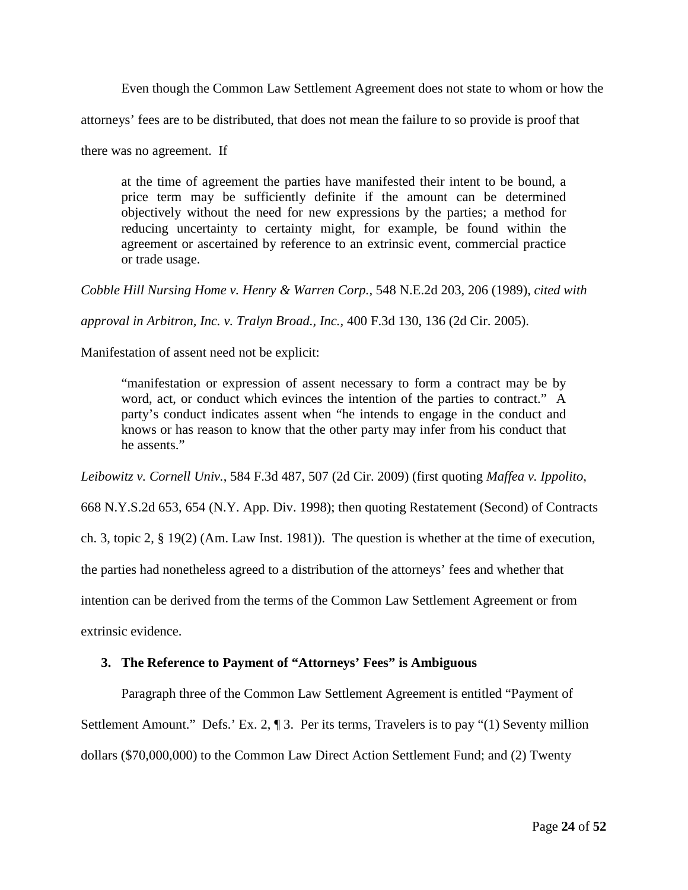Even though the Common Law Settlement Agreement does not state to whom or how the

attorneys' fees are to be distributed, that does not mean the failure to so provide is proof that

there was no agreement. If

at the time of agreement the parties have manifested their intent to be bound, a price term may be sufficiently definite if the amount can be determined objectively without the need for new expressions by the parties; a method for reducing uncertainty to certainty might, for example, be found within the agreement or ascertained by reference to an extrinsic event, commercial practice or trade usage.

*Cobble Hill Nursing Home v. Henry & Warren Corp.*, 548 N.E.2d 203, 206 (1989), *cited with* 

*approval in Arbitron, Inc. v. Tralyn Broad., Inc.*, 400 F.3d 130, 136 (2d Cir. 2005).

Manifestation of assent need not be explicit:

"manifestation or expression of assent necessary to form a contract may be by word, act, or conduct which evinces the intention of the parties to contract." A party's conduct indicates assent when "he intends to engage in the conduct and knows or has reason to know that the other party may infer from his conduct that he assents."

*Leibowitz v. Cornell Univ.*, 584 F.3d 487, 507 (2d Cir. 2009) (first quoting *Maffea v. Ippolito*,

668 N.Y.S.2d 653, 654 (N.Y. App. Div. 1998); then quoting Restatement (Second) of Contracts

ch. 3, topic 2, § 19(2) (Am. Law Inst. 1981)). The question is whether at the time of execution,

the parties had nonetheless agreed to a distribution of the attorneys' fees and whether that

intention can be derived from the terms of the Common Law Settlement Agreement or from

extrinsic evidence.

## **3. The Reference to Payment of "Attorneys' Fees" is Ambiguous**

Paragraph three of the Common Law Settlement Agreement is entitled "Payment of

Settlement Amount." Defs.' Ex. 2, ¶ 3. Per its terms, Travelers is to pay "(1) Seventy million

dollars (\$70,000,000) to the Common Law Direct Action Settlement Fund; and (2) Twenty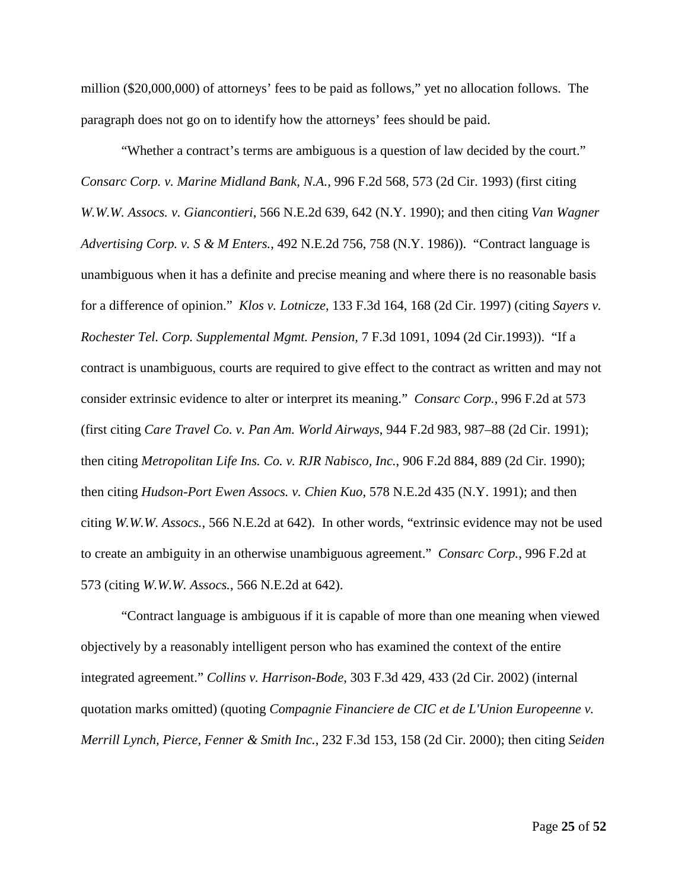million (\$20,000,000) of attorneys' fees to be paid as follows," yet no allocation follows. The paragraph does not go on to identify how the attorneys' fees should be paid.

"Whether a contract's terms are ambiguous is a question of law decided by the court." *Consarc Corp. v. Marine Midland Bank, N.A.*, 996 F.2d 568, 573 (2d Cir. 1993) (first citing *W.W.W. Assocs. v. Giancontieri*, 566 N.E.2d 639, 642 (N.Y. 1990); and then citing *Van Wagner Advertising Corp. v. S & M Enters.*, 492 N.E.2d 756, 758 (N.Y. 1986)). "Contract language is unambiguous when it has a definite and precise meaning and where there is no reasonable basis for a difference of opinion." *Klos v. Lotnicze*, 133 F.3d 164, 168 (2d Cir. 1997) (citing *Sayers v. Rochester Tel. Corp. Supplemental Mgmt. Pension,* 7 F.3d 1091, 1094 (2d Cir.1993)). "If a contract is unambiguous, courts are required to give effect to the contract as written and may not consider extrinsic evidence to alter or interpret its meaning." *Consarc Corp.*, 996 F.2d at 573 (first citing *Care Travel Co. v. Pan Am. World Airways*, 944 F.2d 983, 987–88 (2d Cir. 1991); then citing *Metropolitan Life Ins. Co. v. RJR Nabisco, Inc.*, 906 F.2d 884, 889 (2d Cir. 1990); then citing *Hudson-Port Ewen Assocs. v. Chien Kuo*, 578 N.E.2d 435 (N.Y. 1991); and then citing *W.W.W. Assocs.*, 566 N.E.2d at 642). In other words, "extrinsic evidence may not be used to create an ambiguity in an otherwise unambiguous agreement." *Consarc Corp.*, 996 F.2d at 573 (citing *W.W.W. Assocs.*, 566 N.E.2d at 642).

"Contract language is ambiguous if it is capable of more than one meaning when viewed objectively by a reasonably intelligent person who has examined the context of the entire integrated agreement." *Collins v. Harrison-Bode*, 303 F.3d 429, 433 (2d Cir. 2002) (internal quotation marks omitted) (quoting *Compagnie Financiere de CIC et de L'Union Europeenne v. Merrill Lynch, Pierce, Fenner & Smith Inc.*, 232 F.3d 153, 158 (2d Cir. 2000); then citing *Seiden*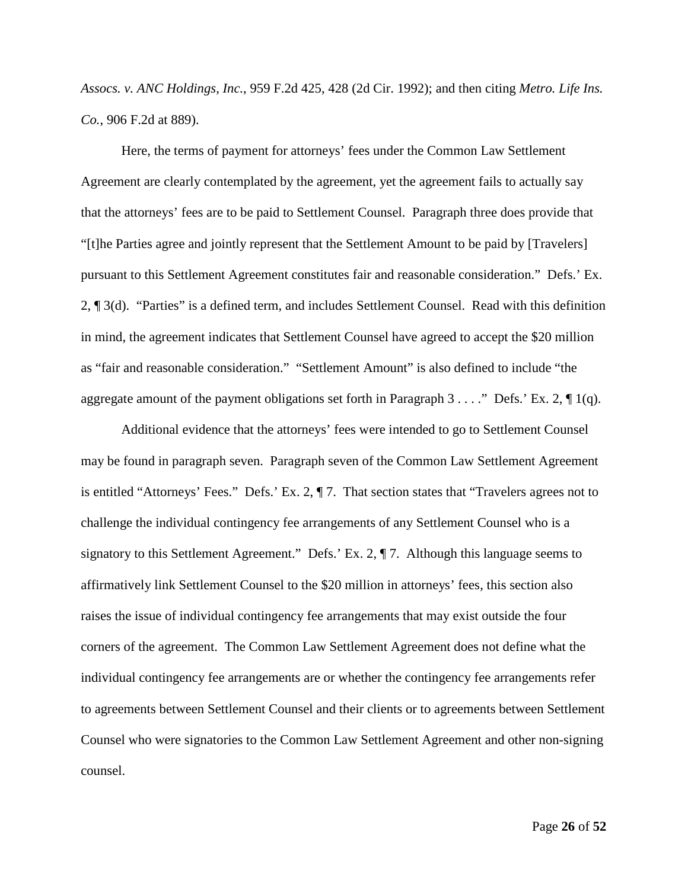*Assocs. v. ANC Holdings, Inc.*, 959 F.2d 425, 428 (2d Cir. 1992); and then citing *Metro. Life Ins. Co.*, 906 F.2d at 889).

Here, the terms of payment for attorneys' fees under the Common Law Settlement Agreement are clearly contemplated by the agreement, yet the agreement fails to actually say that the attorneys' fees are to be paid to Settlement Counsel. Paragraph three does provide that "[t]he Parties agree and jointly represent that the Settlement Amount to be paid by [Travelers] pursuant to this Settlement Agreement constitutes fair and reasonable consideration." Defs.' Ex. 2, ¶ 3(d). "Parties" is a defined term, and includes Settlement Counsel. Read with this definition in mind, the agreement indicates that Settlement Counsel have agreed to accept the \$20 million as "fair and reasonable consideration." "Settlement Amount" is also defined to include "the aggregate amount of the payment obligations set forth in Paragraph 3 . . . ." Defs.' Ex. 2,  $\P$  1(q).

Additional evidence that the attorneys' fees were intended to go to Settlement Counsel may be found in paragraph seven. Paragraph seven of the Common Law Settlement Agreement is entitled "Attorneys' Fees." Defs.' Ex. 2, ¶ 7. That section states that "Travelers agrees not to challenge the individual contingency fee arrangements of any Settlement Counsel who is a signatory to this Settlement Agreement." Defs.' Ex. 2, ¶ 7. Although this language seems to affirmatively link Settlement Counsel to the \$20 million in attorneys' fees, this section also raises the issue of individual contingency fee arrangements that may exist outside the four corners of the agreement. The Common Law Settlement Agreement does not define what the individual contingency fee arrangements are or whether the contingency fee arrangements refer to agreements between Settlement Counsel and their clients or to agreements between Settlement Counsel who were signatories to the Common Law Settlement Agreement and other non-signing counsel.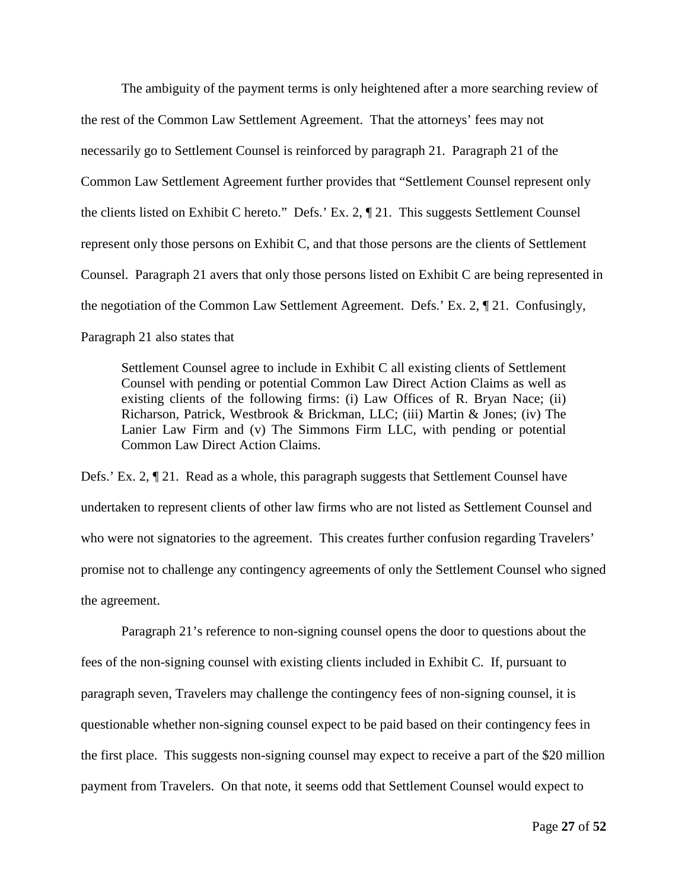The ambiguity of the payment terms is only heightened after a more searching review of the rest of the Common Law Settlement Agreement. That the attorneys' fees may not necessarily go to Settlement Counsel is reinforced by paragraph 21. Paragraph 21 of the Common Law Settlement Agreement further provides that "Settlement Counsel represent only the clients listed on Exhibit C hereto." Defs.' Ex. 2, ¶ 21. This suggests Settlement Counsel represent only those persons on Exhibit C, and that those persons are the clients of Settlement Counsel. Paragraph 21 avers that only those persons listed on Exhibit C are being represented in the negotiation of the Common Law Settlement Agreement. Defs.' Ex. 2, ¶ 21. Confusingly, Paragraph 21 also states that

Settlement Counsel agree to include in Exhibit C all existing clients of Settlement Counsel with pending or potential Common Law Direct Action Claims as well as existing clients of the following firms: (i) Law Offices of R. Bryan Nace; (ii) Richarson, Patrick, Westbrook & Brickman, LLC; (iii) Martin & Jones; (iv) The Lanier Law Firm and (v) The Simmons Firm LLC, with pending or potential Common Law Direct Action Claims.

Defs.' Ex. 2, ¶ 21. Read as a whole, this paragraph suggests that Settlement Counsel have undertaken to represent clients of other law firms who are not listed as Settlement Counsel and who were not signatories to the agreement. This creates further confusion regarding Travelers' promise not to challenge any contingency agreements of only the Settlement Counsel who signed the agreement.

Paragraph 21's reference to non-signing counsel opens the door to questions about the fees of the non-signing counsel with existing clients included in Exhibit C. If, pursuant to paragraph seven, Travelers may challenge the contingency fees of non-signing counsel, it is questionable whether non-signing counsel expect to be paid based on their contingency fees in the first place. This suggests non-signing counsel may expect to receive a part of the \$20 million payment from Travelers. On that note, it seems odd that Settlement Counsel would expect to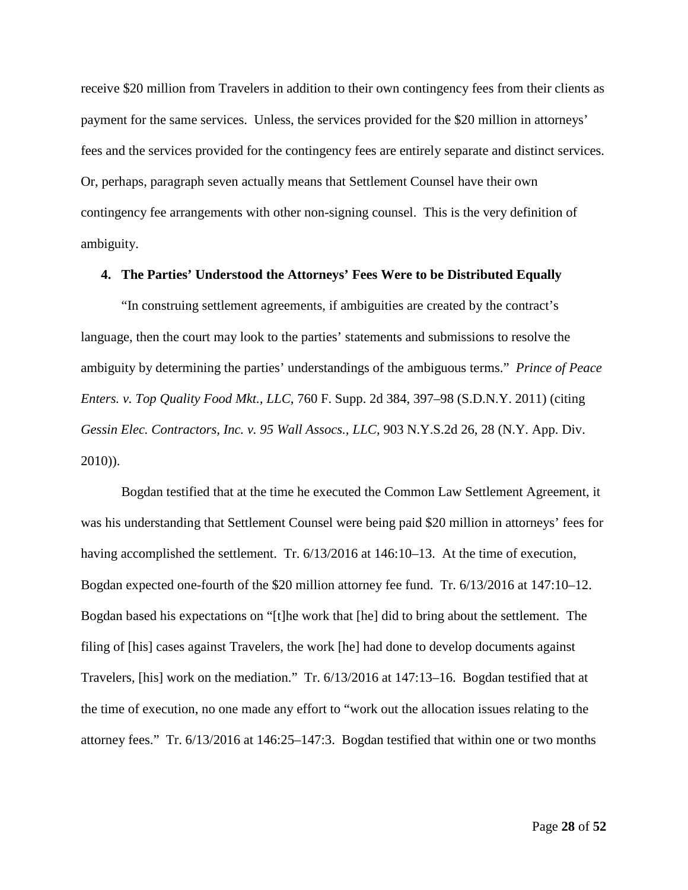receive \$20 million from Travelers in addition to their own contingency fees from their clients as payment for the same services. Unless, the services provided for the \$20 million in attorneys' fees and the services provided for the contingency fees are entirely separate and distinct services. Or, perhaps, paragraph seven actually means that Settlement Counsel have their own contingency fee arrangements with other non-signing counsel. This is the very definition of ambiguity.

## **4. The Parties' Understood the Attorneys' Fees Were to be Distributed Equally**

"In construing settlement agreements, if ambiguities are created by the contract's language, then the court may look to the parties' statements and submissions to resolve the ambiguity by determining the parties' understandings of the ambiguous terms." *Prince of Peace Enters. v. Top Quality Food Mkt., LLC*, 760 F. Supp. 2d 384, 397–98 (S.D.N.Y. 2011) (citing *Gessin Elec. Contractors, Inc. v. 95 Wall Assocs., LLC*, 903 N.Y.S.2d 26, 28 (N.Y. App. Div. 2010)).

Bogdan testified that at the time he executed the Common Law Settlement Agreement, it was his understanding that Settlement Counsel were being paid \$20 million in attorneys' fees for having accomplished the settlement. Tr. 6/13/2016 at 146:10–13. At the time of execution, Bogdan expected one-fourth of the \$20 million attorney fee fund. Tr. 6/13/2016 at 147:10–12. Bogdan based his expectations on "[t]he work that [he] did to bring about the settlement. The filing of [his] cases against Travelers, the work [he] had done to develop documents against Travelers, [his] work on the mediation." Tr. 6/13/2016 at 147:13–16. Bogdan testified that at the time of execution, no one made any effort to "work out the allocation issues relating to the attorney fees." Tr. 6/13/2016 at 146:25–147:3. Bogdan testified that within one or two months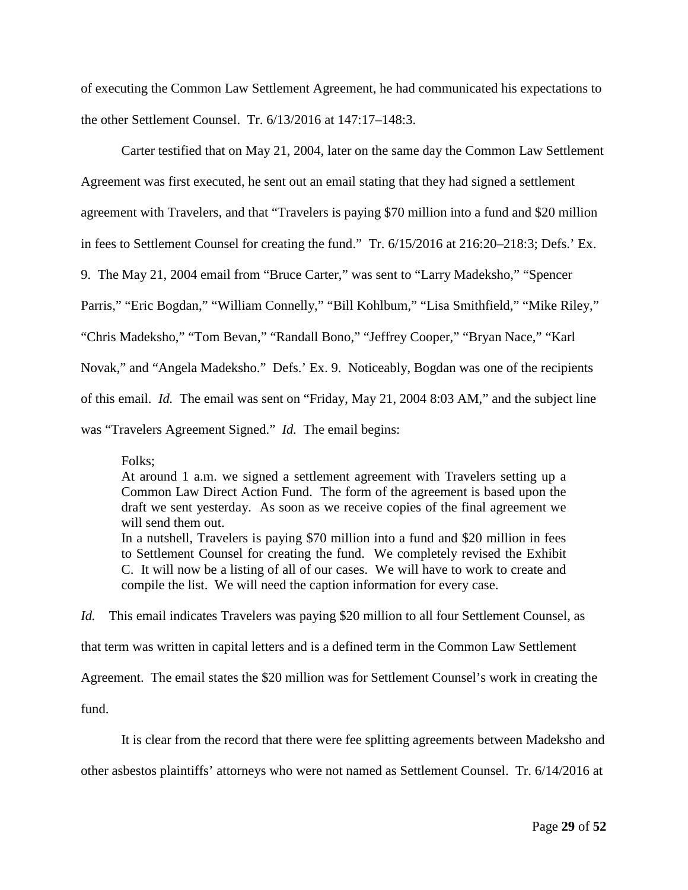of executing the Common Law Settlement Agreement, he had communicated his expectations to the other Settlement Counsel. Tr. 6/13/2016 at 147:17–148:3.

Carter testified that on May 21, 2004, later on the same day the Common Law Settlement Agreement was first executed, he sent out an email stating that they had signed a settlement agreement with Travelers, and that "Travelers is paying \$70 million into a fund and \$20 million in fees to Settlement Counsel for creating the fund." Tr. 6/15/2016 at 216:20–218:3; Defs.' Ex. 9. The May 21, 2004 email from "Bruce Carter," was sent to "Larry Madeksho," "Spencer Parris," "Eric Bogdan," "William Connelly," "Bill Kohlbum," "Lisa Smithfield," "Mike Riley," "Chris Madeksho," "Tom Bevan," "Randall Bono," "Jeffrey Cooper," "Bryan Nace," "Karl Novak," and "Angela Madeksho." Defs.' Ex. 9. Noticeably, Bogdan was one of the recipients of this email. *Id.* The email was sent on "Friday, May 21, 2004 8:03 AM," and the subject line was "Travelers Agreement Signed." *Id.* The email begins:

Folks;

At around 1 a.m. we signed a settlement agreement with Travelers setting up a Common Law Direct Action Fund. The form of the agreement is based upon the draft we sent yesterday. As soon as we receive copies of the final agreement we will send them out. In a nutshell, Travelers is paying \$70 million into a fund and \$20 million in fees to Settlement Counsel for creating the fund. We completely revised the Exhibit

C. It will now be a listing of all of our cases. We will have to work to create and compile the list. We will need the caption information for every case.

*Id.* This email indicates Travelers was paying \$20 million to all four Settlement Counsel, as that term was written in capital letters and is a defined term in the Common Law Settlement Agreement. The email states the \$20 million was for Settlement Counsel's work in creating the fund.

It is clear from the record that there were fee splitting agreements between Madeksho and other asbestos plaintiffs' attorneys who were not named as Settlement Counsel. Tr. 6/14/2016 at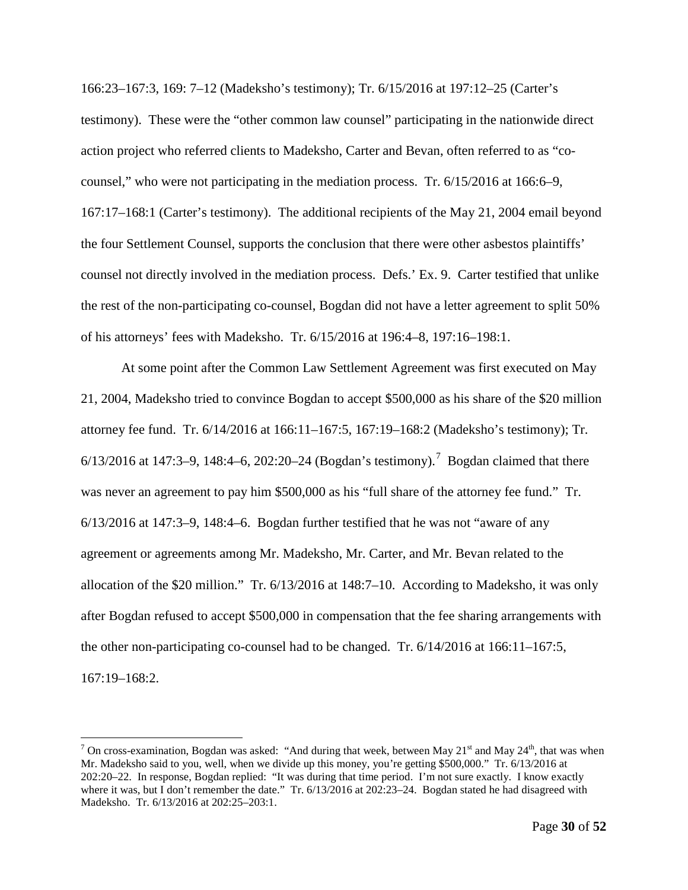166:23–167:3, 169: 7–12 (Madeksho's testimony); Tr. 6/15/2016 at 197:12–25 (Carter's testimony). These were the "other common law counsel" participating in the nationwide direct action project who referred clients to Madeksho, Carter and Bevan, often referred to as "cocounsel," who were not participating in the mediation process. Tr. 6/15/2016 at 166:6–9, 167:17–168:1 (Carter's testimony). The additional recipients of the May 21, 2004 email beyond the four Settlement Counsel, supports the conclusion that there were other asbestos plaintiffs' counsel not directly involved in the mediation process. Defs.' Ex. 9. Carter testified that unlike the rest of the non-participating co-counsel, Bogdan did not have a letter agreement to split 50% of his attorneys' fees with Madeksho. Tr. 6/15/2016 at 196:4–8, 197:16–198:1.

At some point after the Common Law Settlement Agreement was first executed on May 21, 2004, Madeksho tried to convince Bogdan to accept \$500,000 as his share of the \$20 million attorney fee fund. Tr. 6/14/2016 at 166:11–167:5, 167:19–168:2 (Madeksho's testimony); Tr. 6/13/2016 at 14[7](#page-29-0):3–9, 148:4–6, 202:20–24 (Bogdan's testimony).<sup>7</sup> Bogdan claimed that there was never an agreement to pay him \$500,000 as his "full share of the attorney fee fund." Tr. 6/13/2016 at 147:3–9, 148:4–6. Bogdan further testified that he was not "aware of any agreement or agreements among Mr. Madeksho, Mr. Carter, and Mr. Bevan related to the allocation of the \$20 million." Tr. 6/13/2016 at 148:7–10. According to Madeksho, it was only after Bogdan refused to accept \$500,000 in compensation that the fee sharing arrangements with the other non-participating co-counsel had to be changed. Tr. 6/14/2016 at 166:11–167:5, 167:19–168:2.

<span id="page-29-0"></span><sup>&</sup>lt;sup>7</sup> On cross-examination, Bogdan was asked: "And during that week, between May 21<sup>st</sup> and May 24<sup>th</sup>, that was when Mr. Madeksho said to you, well, when we divide up this money, you're getting \$500,000." Tr. 6/13/2016 at 202:20–22. In response, Bogdan replied: "It was during that time period. I'm not sure exactly. I know exactly where it was, but I don't remember the date." Tr. 6/13/2016 at 202:23-24. Bogdan stated he had disagreed with Madeksho. Tr. 6/13/2016 at 202:25–203:1.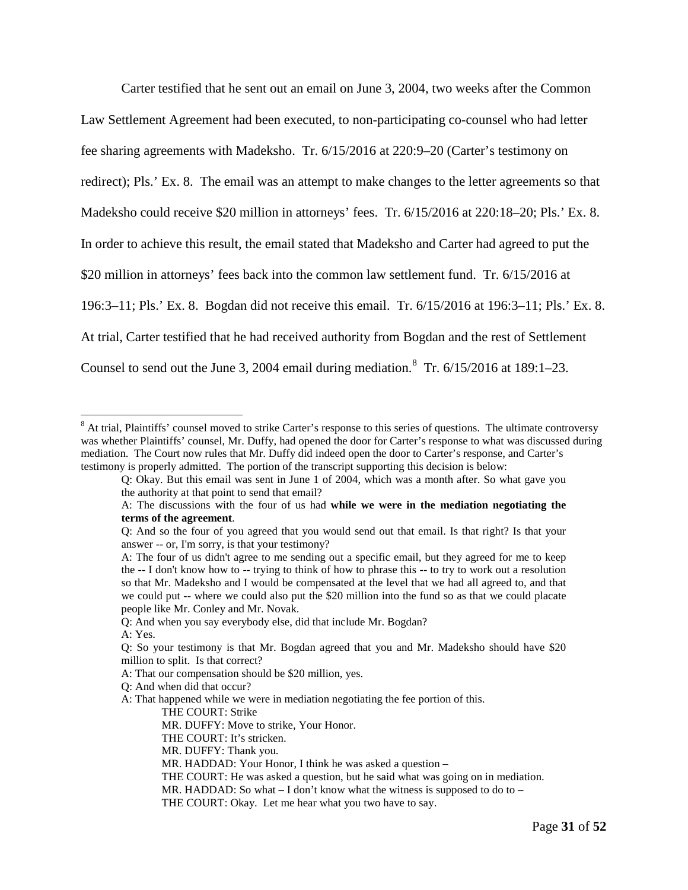Carter testified that he sent out an email on June 3, 2004, two weeks after the Common Law Settlement Agreement had been executed, to non-participating co-counsel who had letter fee sharing agreements with Madeksho. Tr. 6/15/2016 at 220:9–20 (Carter's testimony on redirect); Pls.' Ex. 8. The email was an attempt to make changes to the letter agreements so that Madeksho could receive \$20 million in attorneys' fees. Tr. 6/15/2016 at 220:18–20; Pls.' Ex. 8. In order to achieve this result, the email stated that Madeksho and Carter had agreed to put the \$20 million in attorneys' fees back into the common law settlement fund. Tr. 6/15/2016 at 196:3–11; Pls.' Ex. 8. Bogdan did not receive this email. Tr. 6/15/2016 at 196:3–11; Pls.' Ex. 8. At trial, Carter testified that he had received authority from Bogdan and the rest of Settlement Counsel to send out the June 3, 2004 email during mediation.  $8$  Tr.  $6/15/2016$  at 189:1–23.

<span id="page-30-0"></span><sup>&</sup>lt;sup>8</sup> At trial, Plaintiffs' counsel moved to strike Carter's response to this series of questions. The ultimate controversy was whether Plaintiffs' counsel, Mr. Duffy, had opened the door for Carter's response to what was discussed during mediation. The Court now rules that Mr. Duffy did indeed open the door to Carter's response, and Carter's testimony is properly admitted. The portion of the transcript supporting this decision is below:

Q: Okay. But this email was sent in June 1 of 2004, which was a month after. So what gave you the authority at that point to send that email?

A: The discussions with the four of us had **while we were in the mediation negotiating the terms of the agreement**.

Q: And so the four of you agreed that you would send out that email. Is that right? Is that your answer -- or, I'm sorry, is that your testimony?

A: The four of us didn't agree to me sending out a specific email, but they agreed for me to keep the -- I don't know how to -- trying to think of how to phrase this -- to try to work out a resolution so that Mr. Madeksho and I would be compensated at the level that we had all agreed to, and that we could put -- where we could also put the \$20 million into the fund so as that we could placate people like Mr. Conley and Mr. Novak.

Q: And when you say everybody else, did that include Mr. Bogdan?

A: Yes.

Q: So your testimony is that Mr. Bogdan agreed that you and Mr. Madeksho should have \$20 million to split. Is that correct?

A: That our compensation should be \$20 million, yes.

Q: And when did that occur?

A: That happened while we were in mediation negotiating the fee portion of this.

THE COURT: Strike

MR. DUFFY: Move to strike, Your Honor.

THE COURT: It's stricken.

MR. DUFFY: Thank you.

MR. HADDAD: Your Honor, I think he was asked a question –

THE COURT: He was asked a question, but he said what was going on in mediation.

MR. HADDAD: So what  $- I$  don't know what the witness is supposed to do to  $-$ 

THE COURT: Okay. Let me hear what you two have to say.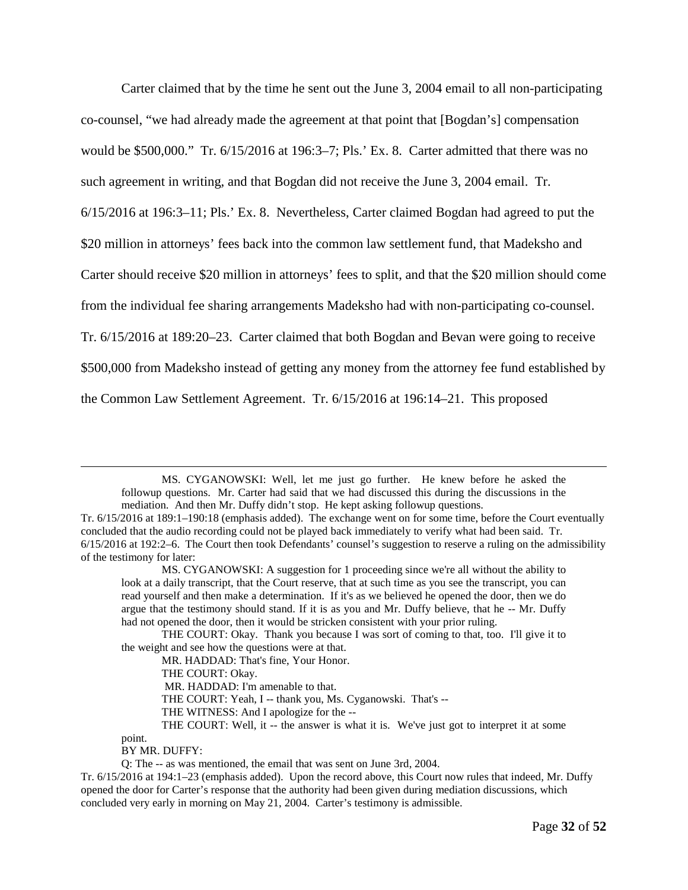Carter claimed that by the time he sent out the June 3, 2004 email to all non-participating co-counsel, "we had already made the agreement at that point that [Bogdan's] compensation would be \$500,000." Tr. 6/15/2016 at 196:3–7; Pls.' Ex. 8. Carter admitted that there was no such agreement in writing, and that Bogdan did not receive the June 3, 2004 email. Tr. 6/15/2016 at 196:3–11; Pls.' Ex. 8. Nevertheless, Carter claimed Bogdan had agreed to put the \$20 million in attorneys' fees back into the common law settlement fund, that Madeksho and Carter should receive \$20 million in attorneys' fees to split, and that the \$20 million should come from the individual fee sharing arrangements Madeksho had with non-participating co-counsel. Tr. 6/15/2016 at 189:20–23. Carter claimed that both Bogdan and Bevan were going to receive \$500,000 from Madeksho instead of getting any money from the attorney fee fund established by the Common Law Settlement Agreement. Tr. 6/15/2016 at 196:14–21. This proposed

MS. CYGANOWSKI: Well, let me just go further. He knew before he asked the followup questions. Mr. Carter had said that we had discussed this during the discussions in the mediation. And then Mr. Duffy didn't stop. He kept asking followup questions.

BY MR. DUFFY:

point.

 $\overline{a}$ 

Tr. 6/15/2016 at 189:1–190:18 (emphasis added). The exchange went on for some time, before the Court eventually concluded that the audio recording could not be played back immediately to verify what had been said. Tr. 6/15/2016 at 192:2–6. The Court then took Defendants' counsel's suggestion to reserve a ruling on the admissibility of the testimony for later:

MS. CYGANOWSKI: A suggestion for 1 proceeding since we're all without the ability to look at a daily transcript, that the Court reserve, that at such time as you see the transcript, you can read yourself and then make a determination. If it's as we believed he opened the door, then we do argue that the testimony should stand. If it is as you and Mr. Duffy believe, that he -- Mr. Duffy had not opened the door, then it would be stricken consistent with your prior ruling.

THE COURT: Okay. Thank you because I was sort of coming to that, too. I'll give it to the weight and see how the questions were at that.

MR. HADDAD: That's fine, Your Honor.

THE COURT: Okay.

MR. HADDAD: I'm amenable to that.

THE COURT: Yeah, I -- thank you, Ms. Cyganowski. That's --

THE WITNESS: And I apologize for the --

THE COURT: Well, it -- the answer is what it is. We've just got to interpret it at some

Q: The -- as was mentioned, the email that was sent on June 3rd, 2004.

Tr. 6/15/2016 at 194:1–23 (emphasis added). Upon the record above, this Court now rules that indeed, Mr. Duffy opened the door for Carter's response that the authority had been given during mediation discussions, which concluded very early in morning on May 21, 2004. Carter's testimony is admissible.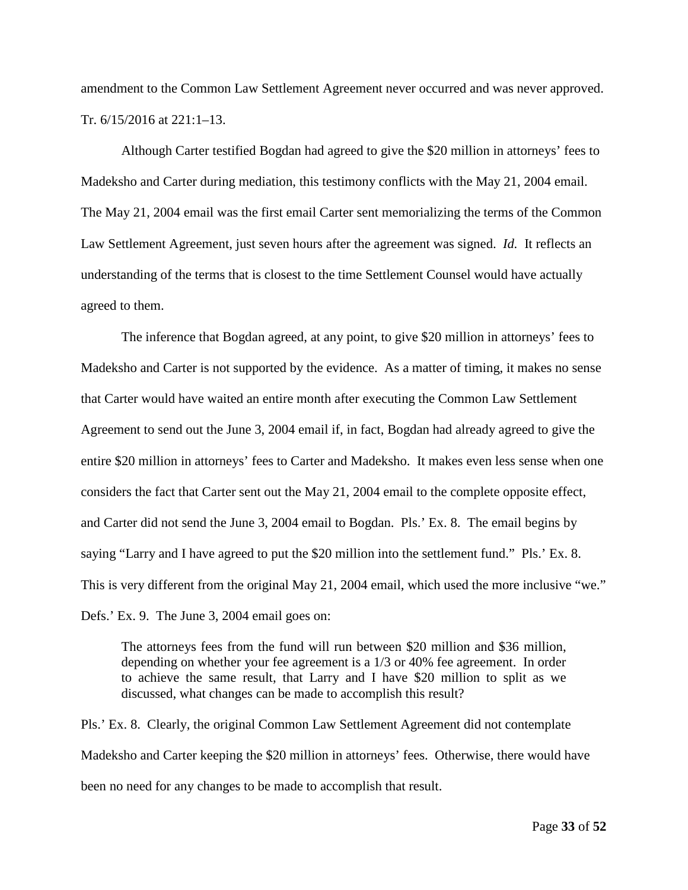amendment to the Common Law Settlement Agreement never occurred and was never approved. Tr. 6/15/2016 at 221:1–13.

Although Carter testified Bogdan had agreed to give the \$20 million in attorneys' fees to Madeksho and Carter during mediation, this testimony conflicts with the May 21, 2004 email. The May 21, 2004 email was the first email Carter sent memorializing the terms of the Common Law Settlement Agreement, just seven hours after the agreement was signed. *Id.* It reflects an understanding of the terms that is closest to the time Settlement Counsel would have actually agreed to them.

The inference that Bogdan agreed, at any point, to give \$20 million in attorneys' fees to Madeksho and Carter is not supported by the evidence. As a matter of timing, it makes no sense that Carter would have waited an entire month after executing the Common Law Settlement Agreement to send out the June 3, 2004 email if, in fact, Bogdan had already agreed to give the entire \$20 million in attorneys' fees to Carter and Madeksho. It makes even less sense when one considers the fact that Carter sent out the May 21, 2004 email to the complete opposite effect, and Carter did not send the June 3, 2004 email to Bogdan. Pls.' Ex. 8. The email begins by saying "Larry and I have agreed to put the \$20 million into the settlement fund." Pls.' Ex. 8. This is very different from the original May 21, 2004 email, which used the more inclusive "we." Defs.' Ex. 9. The June 3, 2004 email goes on:

The attorneys fees from the fund will run between \$20 million and \$36 million, depending on whether your fee agreement is a 1/3 or 40% fee agreement. In order to achieve the same result, that Larry and I have \$20 million to split as we discussed, what changes can be made to accomplish this result?

Pls.' Ex. 8. Clearly, the original Common Law Settlement Agreement did not contemplate Madeksho and Carter keeping the \$20 million in attorneys' fees. Otherwise, there would have been no need for any changes to be made to accomplish that result.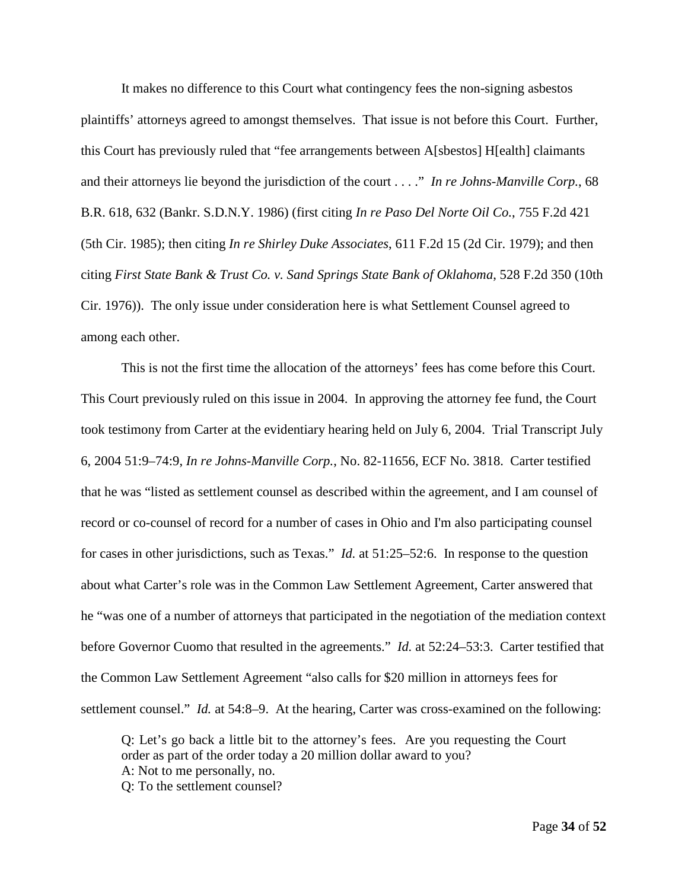It makes no difference to this Court what contingency fees the non-signing asbestos plaintiffs' attorneys agreed to amongst themselves. That issue is not before this Court. Further, this Court has previously ruled that "fee arrangements between A[sbestos] H[ealth] claimants and their attorneys lie beyond the jurisdiction of the court . . . ." *In re Johns-Manville Corp.*, 68 B.R. 618, 632 (Bankr. S.D.N.Y. 1986) (first citing *In re Paso Del Norte Oil Co.*, 755 F.2d 421 (5th Cir. 1985); then citing *In re Shirley Duke Associates*, 611 F.2d 15 (2d Cir. 1979); and then citing *First State Bank & Trust Co. v. Sand Springs State Bank of Oklahoma*, 528 F.2d 350 (10th Cir. 1976)). The only issue under consideration here is what Settlement Counsel agreed to among each other.

This is not the first time the allocation of the attorneys' fees has come before this Court. This Court previously ruled on this issue in 2004. In approving the attorney fee fund, the Court took testimony from Carter at the evidentiary hearing held on July 6, 2004. Trial Transcript July 6, 2004 51:9–74:9, *In re Johns-Manville Corp.*, No. 82-11656, ECF No. 3818. Carter testified that he was "listed as settlement counsel as described within the agreement, and I am counsel of record or co-counsel of record for a number of cases in Ohio and I'm also participating counsel for cases in other jurisdictions, such as Texas." *Id.* at 51:25–52:6. In response to the question about what Carter's role was in the Common Law Settlement Agreement, Carter answered that he "was one of a number of attorneys that participated in the negotiation of the mediation context before Governor Cuomo that resulted in the agreements." *Id.* at 52:24–53:3. Carter testified that the Common Law Settlement Agreement "also calls for \$20 million in attorneys fees for settlement counsel." *Id.* at 54:8–9. At the hearing, Carter was cross-examined on the following:

Q: Let's go back a little bit to the attorney's fees. Are you requesting the Court order as part of the order today a 20 million dollar award to you? A: Not to me personally, no. Q: To the settlement counsel?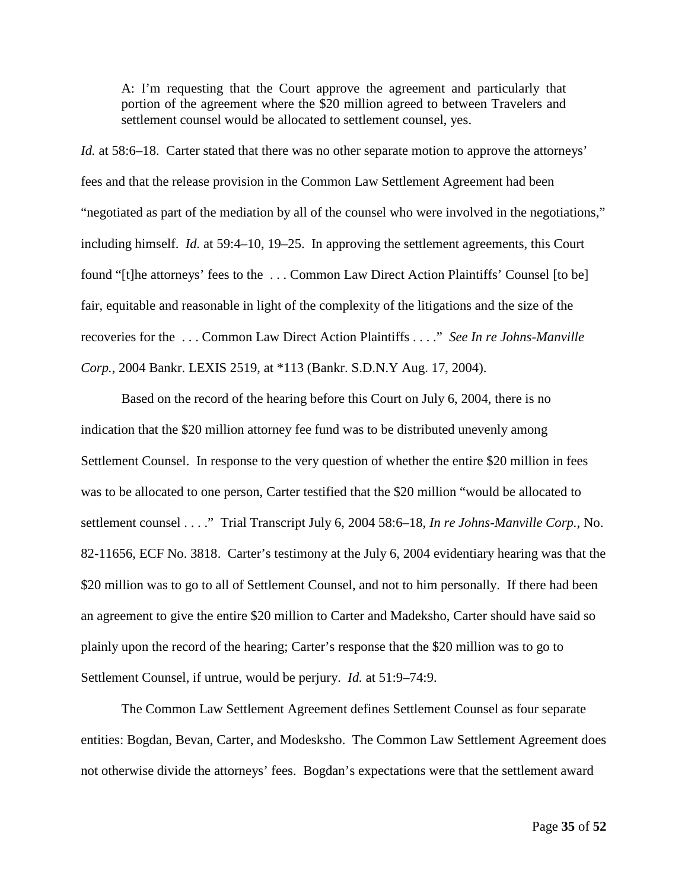A: I'm requesting that the Court approve the agreement and particularly that portion of the agreement where the \$20 million agreed to between Travelers and settlement counsel would be allocated to settlement counsel, yes.

*Id.* at 58:6–18. Carter stated that there was no other separate motion to approve the attorneys' fees and that the release provision in the Common Law Settlement Agreement had been "negotiated as part of the mediation by all of the counsel who were involved in the negotiations," including himself. *Id.* at 59:4–10, 19–25. In approving the settlement agreements, this Court found "[t]he attorneys' fees to the . . . Common Law Direct Action Plaintiffs' Counsel [to be] fair, equitable and reasonable in light of the complexity of the litigations and the size of the recoveries for the . . . Common Law Direct Action Plaintiffs . . . ." *See In re Johns-Manville Corp.*, 2004 Bankr. LEXIS 2519, at \*113 (Bankr. S.D.N.Y Aug. 17, 2004).

Based on the record of the hearing before this Court on July 6, 2004, there is no indication that the \$20 million attorney fee fund was to be distributed unevenly among Settlement Counsel. In response to the very question of whether the entire \$20 million in fees was to be allocated to one person, Carter testified that the \$20 million "would be allocated to settlement counsel . . . ." Trial Transcript July 6, 2004 58:6–18, *In re Johns-Manville Corp.*, No. 82-11656, ECF No. 3818. Carter's testimony at the July 6, 2004 evidentiary hearing was that the \$20 million was to go to all of Settlement Counsel, and not to him personally. If there had been an agreement to give the entire \$20 million to Carter and Madeksho, Carter should have said so plainly upon the record of the hearing; Carter's response that the \$20 million was to go to Settlement Counsel, if untrue, would be perjury. *Id.* at 51:9–74:9.

The Common Law Settlement Agreement defines Settlement Counsel as four separate entities: Bogdan, Bevan, Carter, and Modesksho. The Common Law Settlement Agreement does not otherwise divide the attorneys' fees. Bogdan's expectations were that the settlement award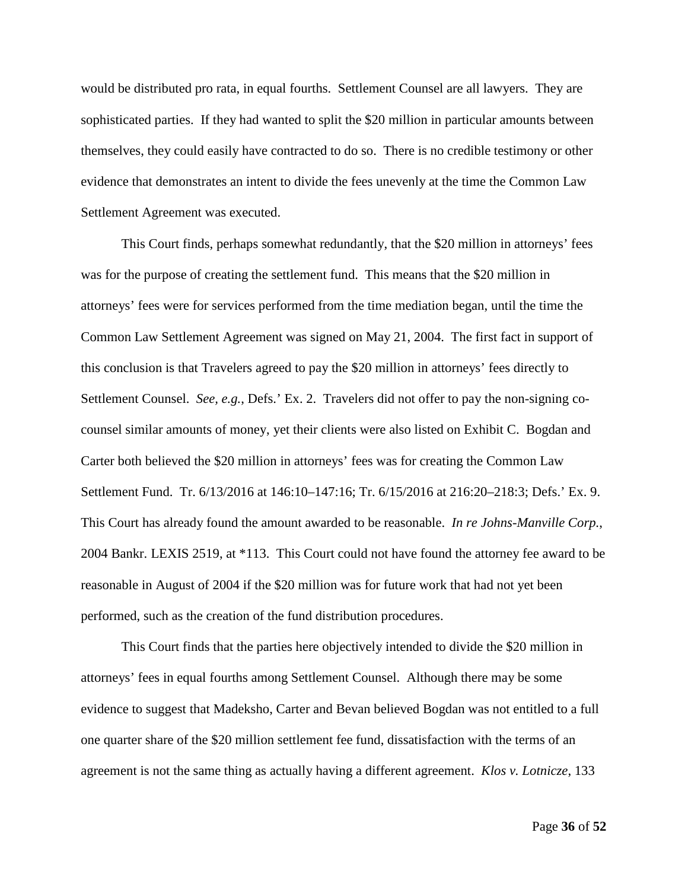would be distributed pro rata, in equal fourths. Settlement Counsel are all lawyers. They are sophisticated parties. If they had wanted to split the \$20 million in particular amounts between themselves, they could easily have contracted to do so. There is no credible testimony or other evidence that demonstrates an intent to divide the fees unevenly at the time the Common Law Settlement Agreement was executed.

This Court finds, perhaps somewhat redundantly, that the \$20 million in attorneys' fees was for the purpose of creating the settlement fund. This means that the \$20 million in attorneys' fees were for services performed from the time mediation began, until the time the Common Law Settlement Agreement was signed on May 21, 2004. The first fact in support of this conclusion is that Travelers agreed to pay the \$20 million in attorneys' fees directly to Settlement Counsel. *See, e.g.*, Defs.' Ex. 2. Travelers did not offer to pay the non-signing cocounsel similar amounts of money, yet their clients were also listed on Exhibit C. Bogdan and Carter both believed the \$20 million in attorneys' fees was for creating the Common Law Settlement Fund. Tr. 6/13/2016 at 146:10–147:16; Tr. 6/15/2016 at 216:20–218:3; Defs.' Ex. 9. This Court has already found the amount awarded to be reasonable. *In re Johns-Manville Corp.*, 2004 Bankr. LEXIS 2519, at \*113. This Court could not have found the attorney fee award to be reasonable in August of 2004 if the \$20 million was for future work that had not yet been performed, such as the creation of the fund distribution procedures.

This Court finds that the parties here objectively intended to divide the \$20 million in attorneys' fees in equal fourths among Settlement Counsel. Although there may be some evidence to suggest that Madeksho, Carter and Bevan believed Bogdan was not entitled to a full one quarter share of the \$20 million settlement fee fund, dissatisfaction with the terms of an agreement is not the same thing as actually having a different agreement. *Klos v. Lotnicze*, 133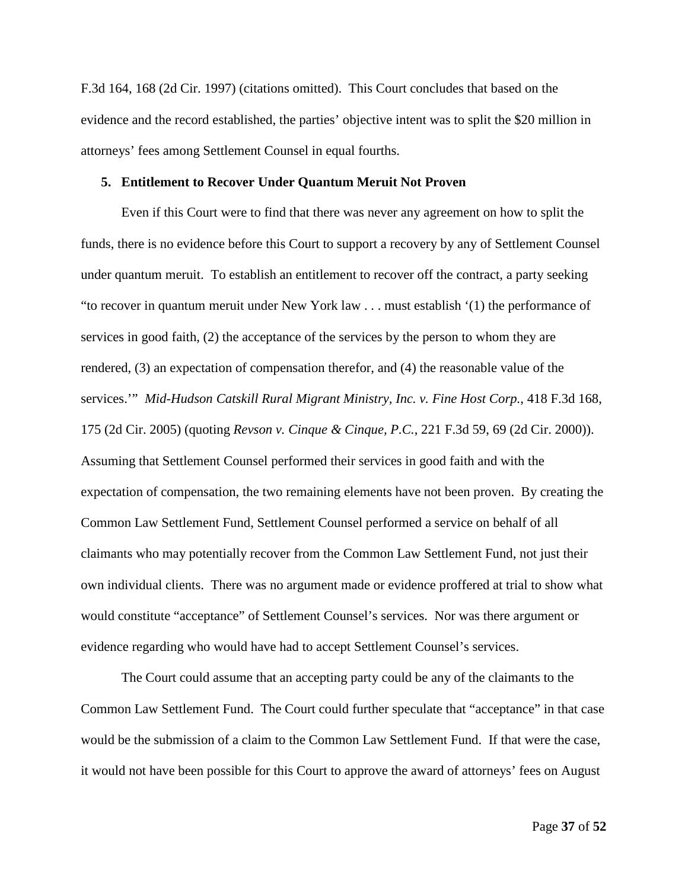F.3d 164, 168 (2d Cir. 1997) (citations omitted). This Court concludes that based on the evidence and the record established, the parties' objective intent was to split the \$20 million in attorneys' fees among Settlement Counsel in equal fourths.

## **5. Entitlement to Recover Under Quantum Meruit Not Proven**

Even if this Court were to find that there was never any agreement on how to split the funds, there is no evidence before this Court to support a recovery by any of Settlement Counsel under quantum meruit. To establish an entitlement to recover off the contract, a party seeking "to recover in quantum meruit under New York law . . . must establish '(1) the performance of services in good faith, (2) the acceptance of the services by the person to whom they are rendered, (3) an expectation of compensation therefor, and (4) the reasonable value of the services.'" *Mid-Hudson Catskill Rural Migrant Ministry, Inc. v. Fine Host Corp.*, 418 F.3d 168, 175 (2d Cir. 2005) (quoting *Revson v. Cinque & Cinque, P.C.*, 221 F.3d 59, 69 (2d Cir. 2000)). Assuming that Settlement Counsel performed their services in good faith and with the expectation of compensation, the two remaining elements have not been proven. By creating the Common Law Settlement Fund, Settlement Counsel performed a service on behalf of all claimants who may potentially recover from the Common Law Settlement Fund, not just their own individual clients. There was no argument made or evidence proffered at trial to show what would constitute "acceptance" of Settlement Counsel's services. Nor was there argument or evidence regarding who would have had to accept Settlement Counsel's services.

The Court could assume that an accepting party could be any of the claimants to the Common Law Settlement Fund. The Court could further speculate that "acceptance" in that case would be the submission of a claim to the Common Law Settlement Fund. If that were the case, it would not have been possible for this Court to approve the award of attorneys' fees on August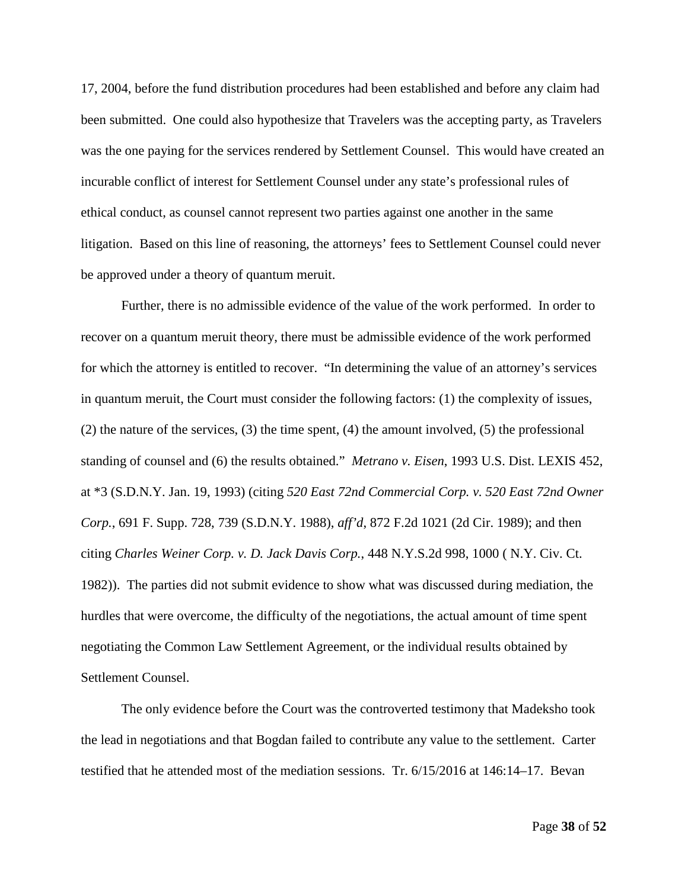17, 2004, before the fund distribution procedures had been established and before any claim had been submitted. One could also hypothesize that Travelers was the accepting party, as Travelers was the one paying for the services rendered by Settlement Counsel. This would have created an incurable conflict of interest for Settlement Counsel under any state's professional rules of ethical conduct, as counsel cannot represent two parties against one another in the same litigation. Based on this line of reasoning, the attorneys' fees to Settlement Counsel could never be approved under a theory of quantum meruit.

Further, there is no admissible evidence of the value of the work performed. In order to recover on a quantum meruit theory, there must be admissible evidence of the work performed for which the attorney is entitled to recover. "In determining the value of an attorney's services in quantum meruit, the Court must consider the following factors: (1) the complexity of issues, (2) the nature of the services, (3) the time spent, (4) the amount involved, (5) the professional standing of counsel and (6) the results obtained." *Metrano v. Eisen*, 1993 U.S. Dist. LEXIS 452, at \*3 (S.D.N.Y. Jan. 19, 1993) (citing *520 East 72nd Commercial Corp. v. 520 East 72nd Owner Corp.*, 691 F. Supp. 728, 739 (S.D.N.Y. 1988), *aff'd*, 872 F.2d 1021 (2d Cir. 1989); and then citing *Charles Weiner Corp. v. D. Jack Davis Corp.*, 448 N.Y.S.2d 998, 1000 ( N.Y. Civ. Ct. 1982)). The parties did not submit evidence to show what was discussed during mediation, the hurdles that were overcome, the difficulty of the negotiations, the actual amount of time spent negotiating the Common Law Settlement Agreement, or the individual results obtained by Settlement Counsel.

The only evidence before the Court was the controverted testimony that Madeksho took the lead in negotiations and that Bogdan failed to contribute any value to the settlement. Carter testified that he attended most of the mediation sessions. Tr. 6/15/2016 at 146:14–17. Bevan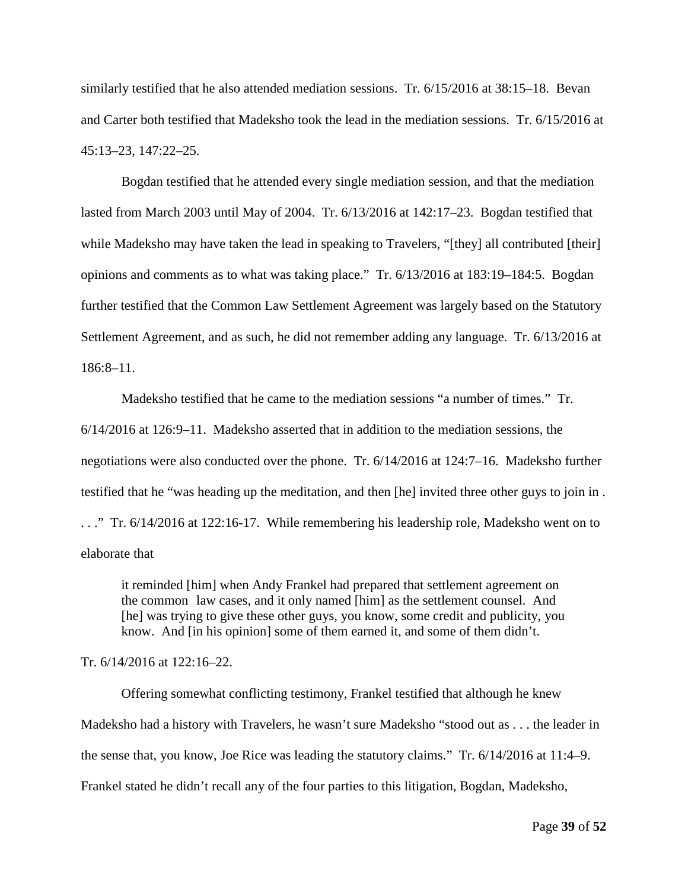similarly testified that he also attended mediation sessions. Tr. 6/15/2016 at 38:15–18. Bevan and Carter both testified that Madeksho took the lead in the mediation sessions. Tr. 6/15/2016 at 45:13–23, 147:22–25.

Bogdan testified that he attended every single mediation session, and that the mediation lasted from March 2003 until May of 2004. Tr. 6/13/2016 at 142:17–23. Bogdan testified that while Madeksho may have taken the lead in speaking to Travelers, "[they] all contributed [their] opinions and comments as to what was taking place." Tr. 6/13/2016 at 183:19–184:5. Bogdan further testified that the Common Law Settlement Agreement was largely based on the Statutory Settlement Agreement, and as such, he did not remember adding any language. Tr. 6/13/2016 at 186:8–11.

Madeksho testified that he came to the mediation sessions "a number of times." Tr. 6/14/2016 at 126:9–11. Madeksho asserted that in addition to the mediation sessions, the negotiations were also conducted over the phone. Tr. 6/14/2016 at 124:7–16. Madeksho further testified that he "was heading up the meditation, and then [he] invited three other guys to join in . . . ." Tr. 6/14/2016 at 122:16-17. While remembering his leadership role, Madeksho went on to elaborate that

it reminded [him] when Andy Frankel had prepared that settlement agreement on the common law cases, and it only named [him] as the settlement counsel. And [he] was trying to give these other guys, you know, some credit and publicity, you know. And [in his opinion] some of them earned it, and some of them didn't.

Tr. 6/14/2016 at 122:16–22.

Offering somewhat conflicting testimony, Frankel testified that although he knew Madeksho had a history with Travelers, he wasn't sure Madeksho "stood out as . . . the leader in the sense that, you know, Joe Rice was leading the statutory claims." Tr. 6/14/2016 at 11:4–9. Frankel stated he didn't recall any of the four parties to this litigation, Bogdan, Madeksho,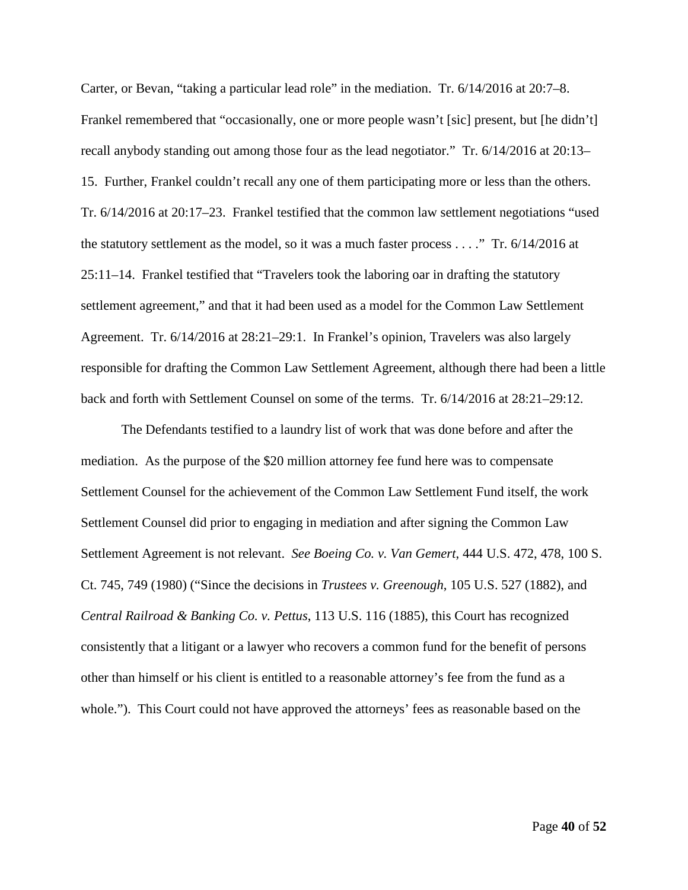Carter, or Bevan, "taking a particular lead role" in the mediation. Tr. 6/14/2016 at 20:7–8. Frankel remembered that "occasionally, one or more people wasn't [sic] present, but [he didn't] recall anybody standing out among those four as the lead negotiator." Tr. 6/14/2016 at 20:13– 15. Further, Frankel couldn't recall any one of them participating more or less than the others. Tr. 6/14/2016 at 20:17–23. Frankel testified that the common law settlement negotiations "used the statutory settlement as the model, so it was a much faster process . . . ." Tr. 6/14/2016 at 25:11–14. Frankel testified that "Travelers took the laboring oar in drafting the statutory settlement agreement," and that it had been used as a model for the Common Law Settlement Agreement. Tr. 6/14/2016 at 28:21–29:1. In Frankel's opinion, Travelers was also largely responsible for drafting the Common Law Settlement Agreement, although there had been a little back and forth with Settlement Counsel on some of the terms. Tr. 6/14/2016 at 28:21–29:12.

The Defendants testified to a laundry list of work that was done before and after the mediation. As the purpose of the \$20 million attorney fee fund here was to compensate Settlement Counsel for the achievement of the Common Law Settlement Fund itself, the work Settlement Counsel did prior to engaging in mediation and after signing the Common Law Settlement Agreement is not relevant. *See Boeing Co. v. Van Gemert*, 444 U.S. 472, 478, 100 S. Ct. 745, 749 (1980) ("Since the decisions in *Trustees v. Greenough*, 105 U.S. 527 (1882), and *Central Railroad & Banking Co. v. Pettus*, 113 U.S. 116 (1885), this Court has recognized consistently that a litigant or a lawyer who recovers a common fund for the benefit of persons other than himself or his client is entitled to a reasonable attorney's fee from the fund as a whole."). This Court could not have approved the attorneys' fees as reasonable based on the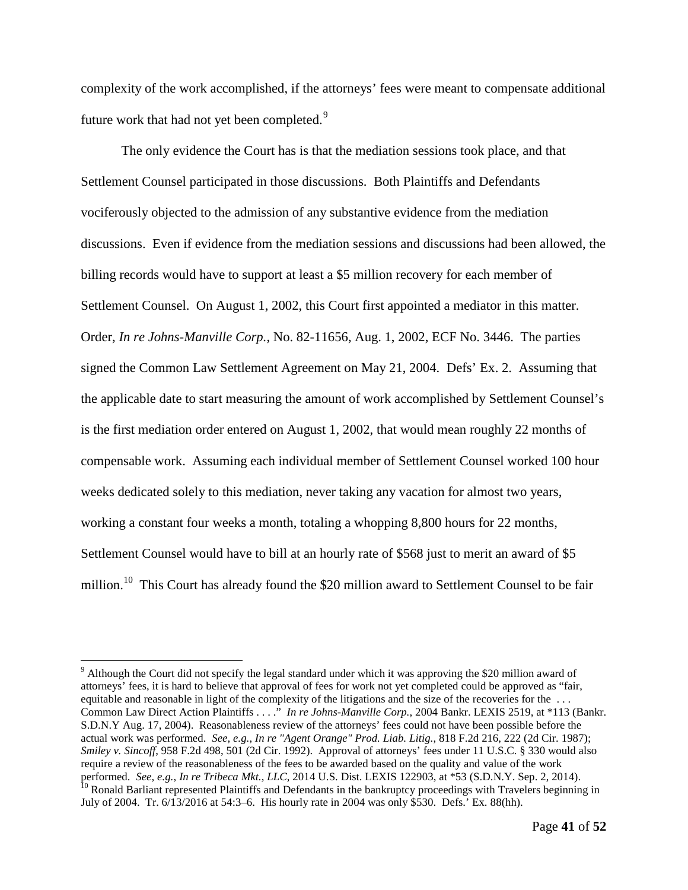complexity of the work accomplished, if the attorneys' fees were meant to compensate additional future work that had not yet been completed.<sup>[9](#page-40-0)</sup>

The only evidence the Court has is that the mediation sessions took place, and that Settlement Counsel participated in those discussions. Both Plaintiffs and Defendants vociferously objected to the admission of any substantive evidence from the mediation discussions. Even if evidence from the mediation sessions and discussions had been allowed, the billing records would have to support at least a \$5 million recovery for each member of Settlement Counsel. On August 1, 2002, this Court first appointed a mediator in this matter. Order, *In re Johns-Manville Corp.*, No. 82-11656, Aug. 1, 2002, ECF No. 3446. The parties signed the Common Law Settlement Agreement on May 21, 2004. Defs' Ex. 2. Assuming that the applicable date to start measuring the amount of work accomplished by Settlement Counsel's is the first mediation order entered on August 1, 2002, that would mean roughly 22 months of compensable work. Assuming each individual member of Settlement Counsel worked 100 hour weeks dedicated solely to this mediation, never taking any vacation for almost two years, working a constant four weeks a month, totaling a whopping 8,800 hours for 22 months, Settlement Counsel would have to bill at an hourly rate of \$568 just to merit an award of \$5 million.<sup>[10](#page-40-1)</sup> This Court has already found the \$20 million award to Settlement Counsel to be fair

<span id="page-40-0"></span><sup>&</sup>lt;sup>9</sup> Although the Court did not specify the legal standard under which it was approving the \$20 million award of attorneys' fees, it is hard to believe that approval of fees for work not yet completed could be approved as "fair, equitable and reasonable in light of the complexity of the litigations and the size of the recoveries for the ... Common Law Direct Action Plaintiffs . . . ." *In re Johns-Manville Corp.*, 2004 Bankr. LEXIS 2519, at \*113 (Bankr. S.D.N.Y Aug. 17, 2004). Reasonableness review of the attorneys' fees could not have been possible before the actual work was performed. *See, e.g.*, *In re "Agent Orange" Prod. Liab. Litig.*, 818 F.2d 216, 222 (2d Cir. 1987); *Smiley v. Sincoff*, 958 F.2d 498, 501 (2d Cir. 1992). Approval of attorneys' fees under 11 U.S.C. § 330 would also require a review of the reasonableness of the fees to be awarded based on the quality and value of the work performed. See, e.g., In re Tribeca Mkt., LLC, 2014 U.S. Dist. LEXIS 122903, at \*53 (S.D.N.Y. Sep. 2, 2014).<br><sup>10</sup> Ronald Barliant represented Plaintiffs and Defendants in the bankruptcy proceedings with Travelers beginning

<span id="page-40-1"></span>July of 2004. Tr. 6/13/2016 at 54:3–6. His hourly rate in 2004 was only \$530. Defs.' Ex. 88(hh).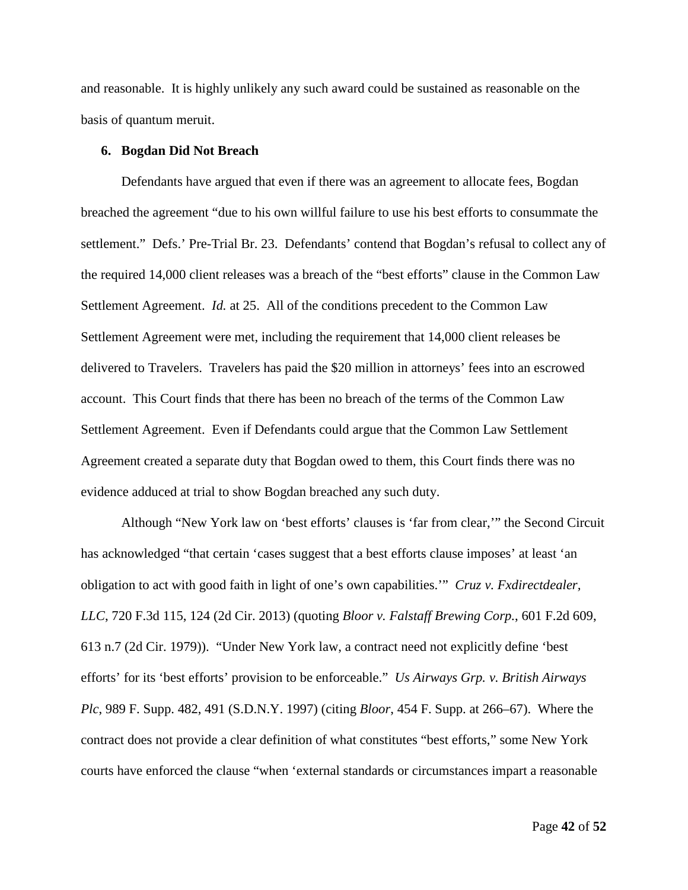and reasonable. It is highly unlikely any such award could be sustained as reasonable on the basis of quantum meruit.

## **6. Bogdan Did Not Breach**

Defendants have argued that even if there was an agreement to allocate fees, Bogdan breached the agreement "due to his own willful failure to use his best efforts to consummate the settlement." Defs.' Pre-Trial Br. 23. Defendants' contend that Bogdan's refusal to collect any of the required 14,000 client releases was a breach of the "best efforts" clause in the Common Law Settlement Agreement. *Id.* at 25. All of the conditions precedent to the Common Law Settlement Agreement were met, including the requirement that 14,000 client releases be delivered to Travelers. Travelers has paid the \$20 million in attorneys' fees into an escrowed account. This Court finds that there has been no breach of the terms of the Common Law Settlement Agreement. Even if Defendants could argue that the Common Law Settlement Agreement created a separate duty that Bogdan owed to them, this Court finds there was no evidence adduced at trial to show Bogdan breached any such duty.

Although "New York law on 'best efforts' clauses is 'far from clear,'" the Second Circuit has acknowledged "that certain 'cases suggest that a best efforts clause imposes' at least 'an obligation to act with good faith in light of one's own capabilities.'" *Cruz v. Fxdirectdealer, LLC*, 720 F.3d 115, 124 (2d Cir. 2013) (quoting *Bloor v. Falstaff Brewing Corp.*, 601 F.2d 609, 613 n.7 (2d Cir. 1979)). "Under New York law, a contract need not explicitly define 'best efforts' for its 'best efforts' provision to be enforceable." *Us Airways Grp. v. British Airways Plc*, 989 F. Supp. 482, 491 (S.D.N.Y. 1997) (citing *Bloor*, 454 F. Supp. at 266–67). Where the contract does not provide a clear definition of what constitutes "best efforts," some New York courts have enforced the clause "when 'external standards or circumstances impart a reasonable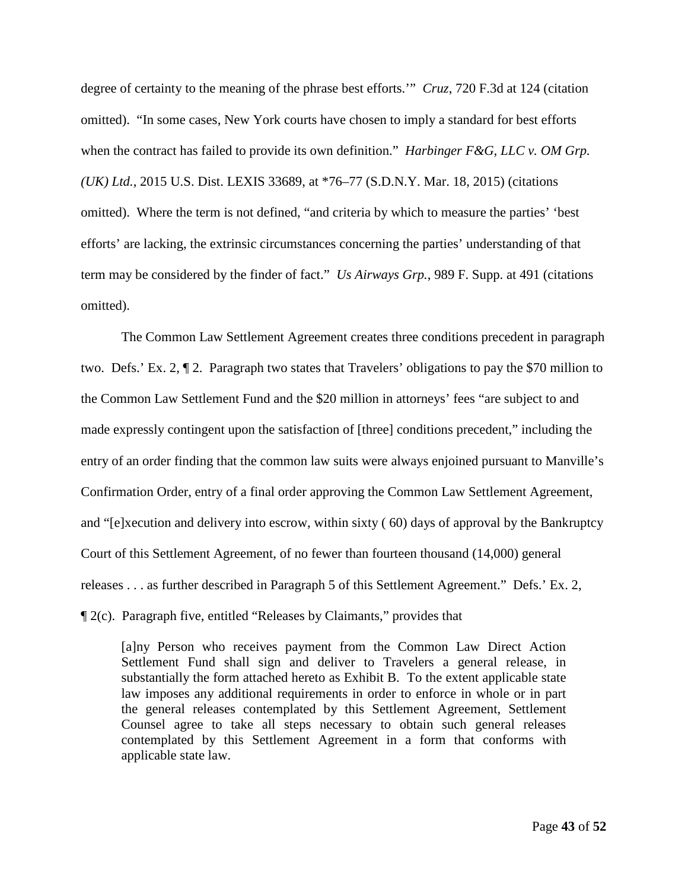degree of certainty to the meaning of the phrase best efforts.'" *Cruz*, 720 F.3d at 124 (citation omitted). "In some cases, New York courts have chosen to imply a standard for best efforts when the contract has failed to provide its own definition." *Harbinger F&G, LLC v. OM Grp. (UK) Ltd.*, 2015 U.S. Dist. LEXIS 33689, at \*76–77 (S.D.N.Y. Mar. 18, 2015) (citations omitted). Where the term is not defined, "and criteria by which to measure the parties' 'best efforts' are lacking, the extrinsic circumstances concerning the parties' understanding of that term may be considered by the finder of fact." *Us Airways Grp.*, 989 F. Supp. at 491 (citations omitted).

The Common Law Settlement Agreement creates three conditions precedent in paragraph two. Defs.' Ex. 2, ¶ 2. Paragraph two states that Travelers' obligations to pay the \$70 million to the Common Law Settlement Fund and the \$20 million in attorneys' fees "are subject to and made expressly contingent upon the satisfaction of [three] conditions precedent," including the entry of an order finding that the common law suits were always enjoined pursuant to Manville's Confirmation Order, entry of a final order approving the Common Law Settlement Agreement, and "[e]xecution and delivery into escrow, within sixty ( 60) days of approval by the Bankruptcy Court of this Settlement Agreement, of no fewer than fourteen thousand (14,000) general releases . . . as further described in Paragraph 5 of this Settlement Agreement." Defs.' Ex. 2, ¶ 2(c). Paragraph five, entitled "Releases by Claimants," provides that

[a]ny Person who receives payment from the Common Law Direct Action Settlement Fund shall sign and deliver to Travelers a general release, in substantially the form attached hereto as Exhibit B. To the extent applicable state law imposes any additional requirements in order to enforce in whole or in part the general releases contemplated by this Settlement Agreement, Settlement Counsel agree to take all steps necessary to obtain such general releases contemplated by this Settlement Agreement in a form that conforms with applicable state law.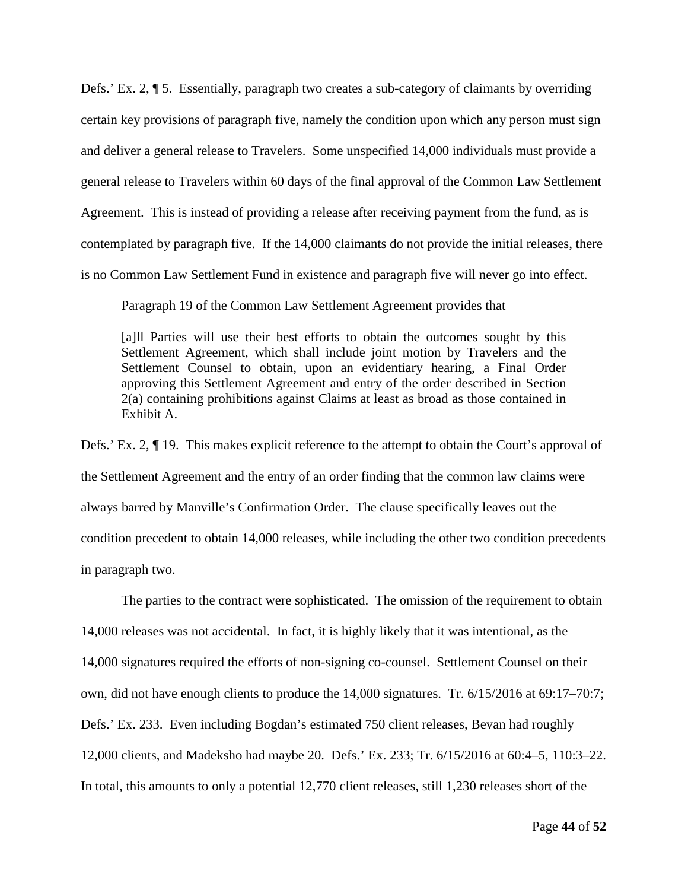Defs.' Ex. 2, ¶ 5. Essentially, paragraph two creates a sub-category of claimants by overriding certain key provisions of paragraph five, namely the condition upon which any person must sign and deliver a general release to Travelers. Some unspecified 14,000 individuals must provide a general release to Travelers within 60 days of the final approval of the Common Law Settlement Agreement. This is instead of providing a release after receiving payment from the fund, as is contemplated by paragraph five. If the 14,000 claimants do not provide the initial releases, there is no Common Law Settlement Fund in existence and paragraph five will never go into effect.

Paragraph 19 of the Common Law Settlement Agreement provides that

[a]ll Parties will use their best efforts to obtain the outcomes sought by this Settlement Agreement, which shall include joint motion by Travelers and the Settlement Counsel to obtain, upon an evidentiary hearing, a Final Order approving this Settlement Agreement and entry of the order described in Section 2(a) containing prohibitions against Claims at least as broad as those contained in Exhibit A.

Defs.' Ex. 2, ¶ 19. This makes explicit reference to the attempt to obtain the Court's approval of the Settlement Agreement and the entry of an order finding that the common law claims were always barred by Manville's Confirmation Order. The clause specifically leaves out the condition precedent to obtain 14,000 releases, while including the other two condition precedents in paragraph two.

The parties to the contract were sophisticated. The omission of the requirement to obtain 14,000 releases was not accidental. In fact, it is highly likely that it was intentional, as the 14,000 signatures required the efforts of non-signing co-counsel. Settlement Counsel on their own, did not have enough clients to produce the 14,000 signatures. Tr. 6/15/2016 at 69:17–70:7; Defs.' Ex. 233. Even including Bogdan's estimated 750 client releases, Bevan had roughly 12,000 clients, and Madeksho had maybe 20. Defs.' Ex. 233; Tr. 6/15/2016 at 60:4–5, 110:3–22. In total, this amounts to only a potential 12,770 client releases, still 1,230 releases short of the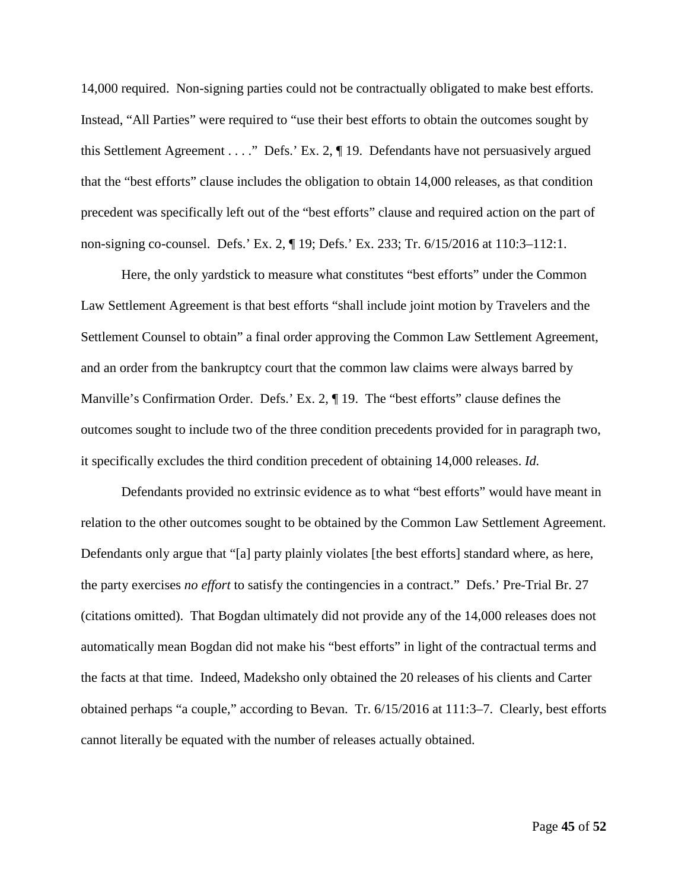14,000 required. Non-signing parties could not be contractually obligated to make best efforts. Instead, "All Parties" were required to "use their best efforts to obtain the outcomes sought by this Settlement Agreement . . . ." Defs.' Ex. 2, ¶ 19. Defendants have not persuasively argued that the "best efforts" clause includes the obligation to obtain 14,000 releases, as that condition precedent was specifically left out of the "best efforts" clause and required action on the part of non-signing co-counsel. Defs.' Ex. 2, ¶ 19; Defs.' Ex. 233; Tr. 6/15/2016 at 110:3–112:1.

Here, the only yardstick to measure what constitutes "best efforts" under the Common Law Settlement Agreement is that best efforts "shall include joint motion by Travelers and the Settlement Counsel to obtain" a final order approving the Common Law Settlement Agreement, and an order from the bankruptcy court that the common law claims were always barred by Manville's Confirmation Order. Defs.' Ex. 2, ¶ 19. The "best efforts" clause defines the outcomes sought to include two of the three condition precedents provided for in paragraph two, it specifically excludes the third condition precedent of obtaining 14,000 releases. *Id.*

Defendants provided no extrinsic evidence as to what "best efforts" would have meant in relation to the other outcomes sought to be obtained by the Common Law Settlement Agreement. Defendants only argue that "[a] party plainly violates [the best efforts] standard where, as here, the party exercises *no effort* to satisfy the contingencies in a contract." Defs.' Pre-Trial Br. 27 (citations omitted). That Bogdan ultimately did not provide any of the 14,000 releases does not automatically mean Bogdan did not make his "best efforts" in light of the contractual terms and the facts at that time. Indeed, Madeksho only obtained the 20 releases of his clients and Carter obtained perhaps "a couple," according to Bevan. Tr. 6/15/2016 at 111:3–7. Clearly, best efforts cannot literally be equated with the number of releases actually obtained.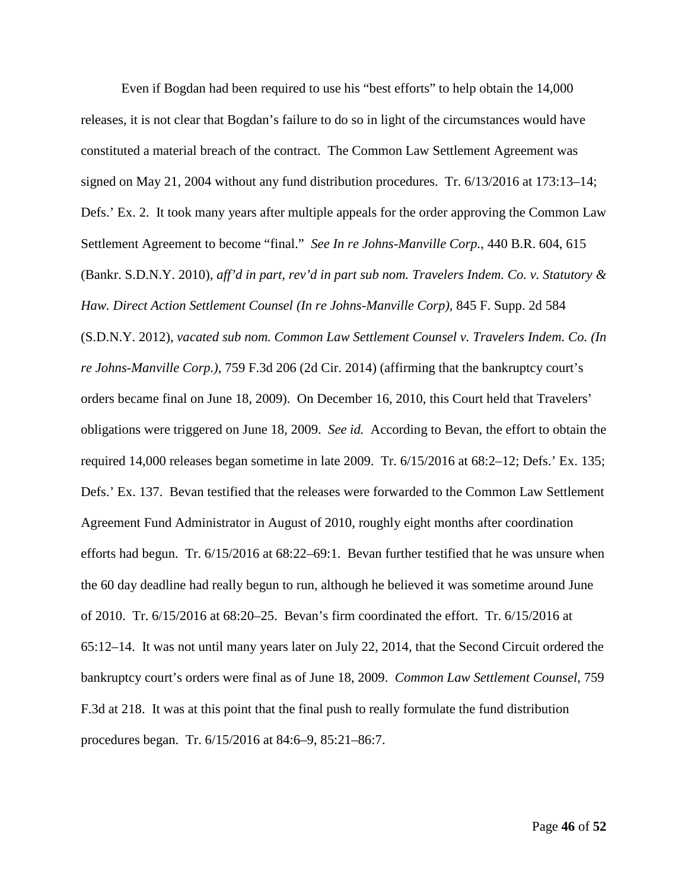Even if Bogdan had been required to use his "best efforts" to help obtain the 14,000 releases, it is not clear that Bogdan's failure to do so in light of the circumstances would have constituted a material breach of the contract. The Common Law Settlement Agreement was signed on May 21, 2004 without any fund distribution procedures. Tr. 6/13/2016 at 173:13–14; Defs.' Ex. 2. It took many years after multiple appeals for the order approving the Common Law Settlement Agreement to become "final." *See In re Johns-Manville Corp.*, 440 B.R. 604, 615 (Bankr. S.D.N.Y. 2010), *aff'd in part, rev'd in part sub nom. Travelers Indem. Co. v. Statutory & Haw. Direct Action Settlement Counsel (In re Johns-Manville Corp)*, 845 F. Supp. 2d 584 (S.D.N.Y. 2012), *vacated sub nom. Common Law Settlement Counsel v. Travelers Indem. Co. (In re Johns-Manville Corp.)*, 759 F.3d 206 (2d Cir. 2014) (affirming that the bankruptcy court's orders became final on June 18, 2009). On December 16, 2010, this Court held that Travelers' obligations were triggered on June 18, 2009. *See id.* According to Bevan, the effort to obtain the required 14,000 releases began sometime in late 2009. Tr. 6/15/2016 at 68:2–12; Defs.' Ex. 135; Defs.' Ex. 137. Bevan testified that the releases were forwarded to the Common Law Settlement Agreement Fund Administrator in August of 2010, roughly eight months after coordination efforts had begun. Tr. 6/15/2016 at 68:22–69:1. Bevan further testified that he was unsure when the 60 day deadline had really begun to run, although he believed it was sometime around June of 2010. Tr. 6/15/2016 at 68:20–25. Bevan's firm coordinated the effort. Tr. 6/15/2016 at 65:12–14. It was not until many years later on July 22, 2014, that the Second Circuit ordered the bankruptcy court's orders were final as of June 18, 2009. *Common Law Settlement Counsel*, 759 F.3d at 218. It was at this point that the final push to really formulate the fund distribution procedures began. Tr. 6/15/2016 at 84:6–9, 85:21–86:7.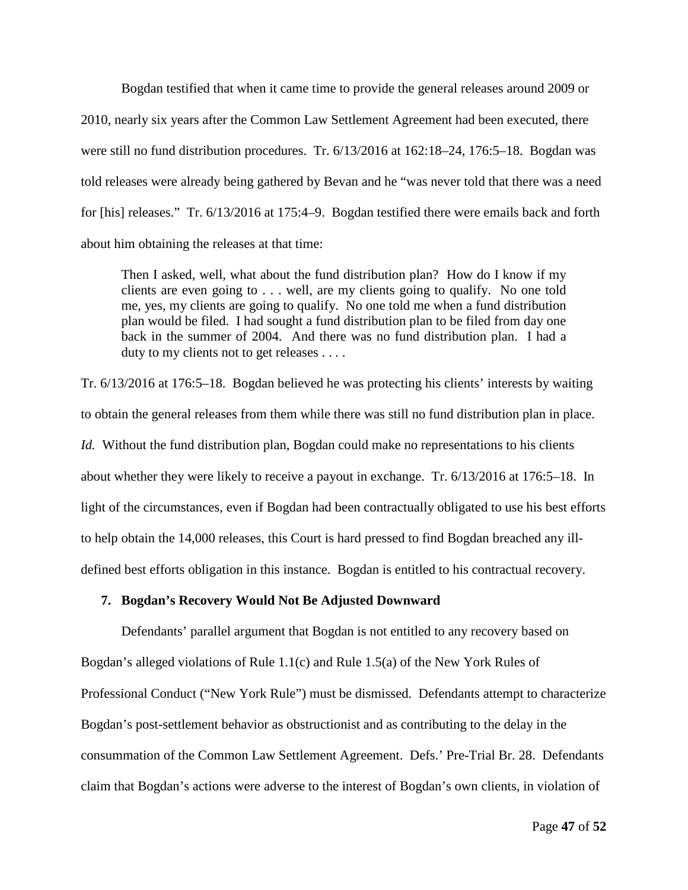Bogdan testified that when it came time to provide the general releases around 2009 or 2010, nearly six years after the Common Law Settlement Agreement had been executed, there were still no fund distribution procedures. Tr. 6/13/2016 at 162:18–24, 176:5–18. Bogdan was told releases were already being gathered by Bevan and he "was never told that there was a need for [his] releases." Tr. 6/13/2016 at 175:4–9. Bogdan testified there were emails back and forth about him obtaining the releases at that time:

Then I asked, well, what about the fund distribution plan? How do I know if my clients are even going to . . . well, are my clients going to qualify. No one told me, yes, my clients are going to qualify. No one told me when a fund distribution plan would be filed. I had sought a fund distribution plan to be filed from day one back in the summer of 2004. And there was no fund distribution plan. I had a duty to my clients not to get releases . . . .

Tr. 6/13/2016 at 176:5–18. Bogdan believed he was protecting his clients' interests by waiting to obtain the general releases from them while there was still no fund distribution plan in place. *Id.* Without the fund distribution plan, Bogdan could make no representations to his clients about whether they were likely to receive a payout in exchange. Tr. 6/13/2016 at 176:5–18. In light of the circumstances, even if Bogdan had been contractually obligated to use his best efforts to help obtain the 14,000 releases, this Court is hard pressed to find Bogdan breached any illdefined best efforts obligation in this instance. Bogdan is entitled to his contractual recovery.

## **7. Bogdan's Recovery Would Not Be Adjusted Downward**

Defendants' parallel argument that Bogdan is not entitled to any recovery based on Bogdan's alleged violations of Rule 1.1(c) and Rule 1.5(a) of the New York Rules of Professional Conduct ("New York Rule") must be dismissed. Defendants attempt to characterize Bogdan's post-settlement behavior as obstructionist and as contributing to the delay in the consummation of the Common Law Settlement Agreement. Defs.' Pre-Trial Br. 28. Defendants claim that Bogdan's actions were adverse to the interest of Bogdan's own clients, in violation of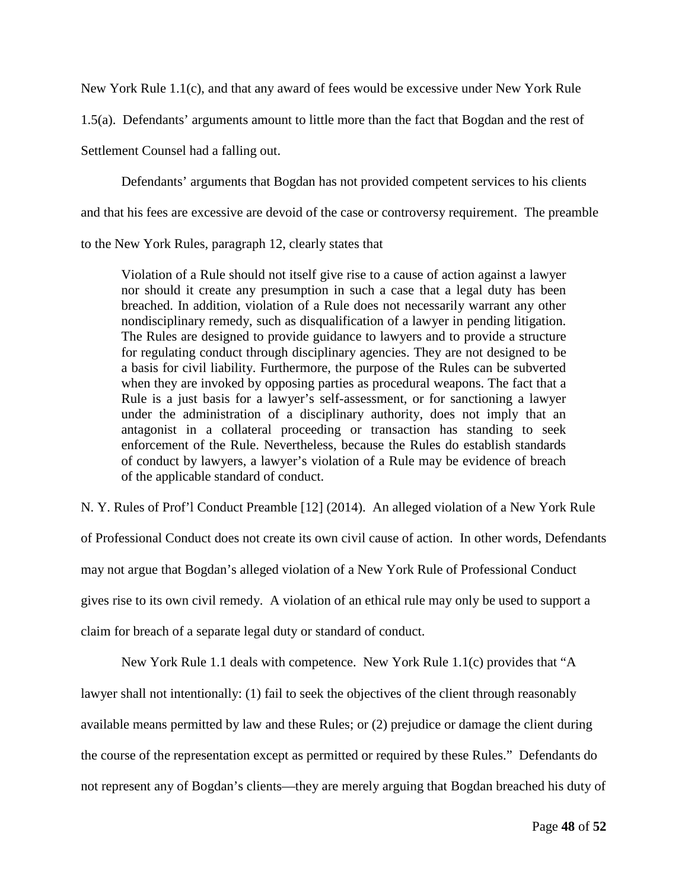New York Rule 1.1(c), and that any award of fees would be excessive under New York Rule

1.5(a). Defendants' arguments amount to little more than the fact that Bogdan and the rest of

Settlement Counsel had a falling out.

Defendants' arguments that Bogdan has not provided competent services to his clients

and that his fees are excessive are devoid of the case or controversy requirement. The preamble

to the New York Rules, paragraph 12, clearly states that

Violation of a Rule should not itself give rise to a cause of action against a lawyer nor should it create any presumption in such a case that a legal duty has been breached. In addition, violation of a Rule does not necessarily warrant any other nondisciplinary remedy, such as disqualification of a lawyer in pending litigation. The Rules are designed to provide guidance to lawyers and to provide a structure for regulating conduct through disciplinary agencies. They are not designed to be a basis for civil liability. Furthermore, the purpose of the Rules can be subverted when they are invoked by opposing parties as procedural weapons. The fact that a Rule is a just basis for a lawyer's self-assessment, or for sanctioning a lawyer under the administration of a disciplinary authority, does not imply that an antagonist in a collateral proceeding or transaction has standing to seek enforcement of the Rule. Nevertheless, because the Rules do establish standards of conduct by lawyers, a lawyer's violation of a Rule may be evidence of breach of the applicable standard of conduct.

N. Y. Rules of Prof'l Conduct Preamble [12] (2014). An alleged violation of a New York Rule

of Professional Conduct does not create its own civil cause of action. In other words, Defendants may not argue that Bogdan's alleged violation of a New York Rule of Professional Conduct gives rise to its own civil remedy. A violation of an ethical rule may only be used to support a claim for breach of a separate legal duty or standard of conduct.

New York Rule 1.1 deals with competence. New York Rule 1.1(c) provides that "A

lawyer shall not intentionally: (1) fail to seek the objectives of the client through reasonably

available means permitted by law and these Rules; or (2) prejudice or damage the client during

the course of the representation except as permitted or required by these Rules." Defendants do

not represent any of Bogdan's clients—they are merely arguing that Bogdan breached his duty of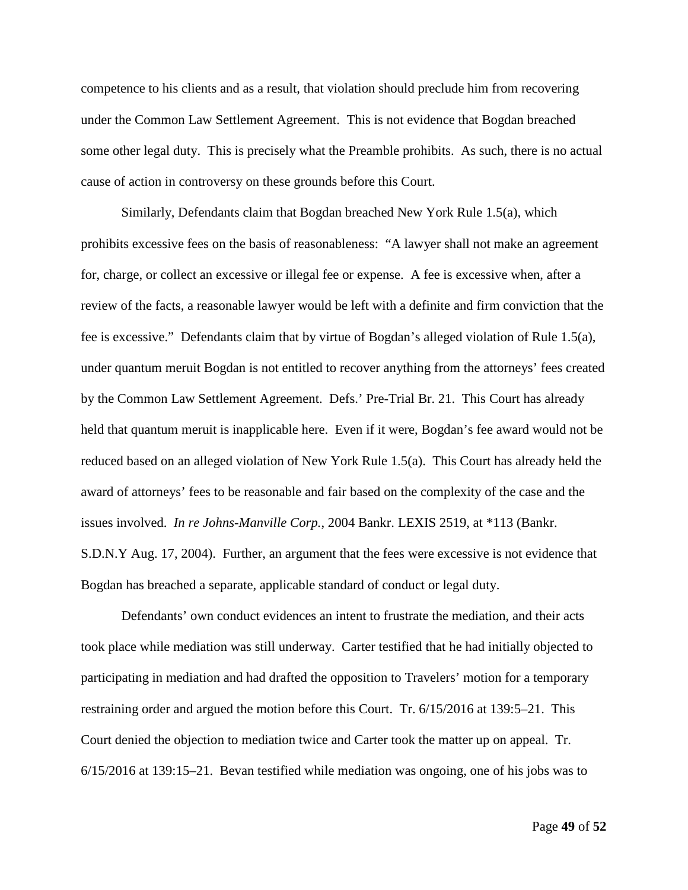competence to his clients and as a result, that violation should preclude him from recovering under the Common Law Settlement Agreement. This is not evidence that Bogdan breached some other legal duty. This is precisely what the Preamble prohibits. As such, there is no actual cause of action in controversy on these grounds before this Court.

Similarly, Defendants claim that Bogdan breached New York Rule 1.5(a), which prohibits excessive fees on the basis of reasonableness: "A lawyer shall not make an agreement for, charge, or collect an excessive or illegal fee or expense. A fee is excessive when, after a review of the facts, a reasonable lawyer would be left with a definite and firm conviction that the fee is excessive." Defendants claim that by virtue of Bogdan's alleged violation of Rule 1.5(a), under quantum meruit Bogdan is not entitled to recover anything from the attorneys' fees created by the Common Law Settlement Agreement. Defs.' Pre-Trial Br. 21. This Court has already held that quantum meruit is inapplicable here. Even if it were, Bogdan's fee award would not be reduced based on an alleged violation of New York Rule 1.5(a). This Court has already held the award of attorneys' fees to be reasonable and fair based on the complexity of the case and the issues involved. *In re Johns-Manville Corp.*, 2004 Bankr. LEXIS 2519, at \*113 (Bankr. S.D.N.Y Aug. 17, 2004). Further, an argument that the fees were excessive is not evidence that Bogdan has breached a separate, applicable standard of conduct or legal duty.

Defendants' own conduct evidences an intent to frustrate the mediation, and their acts took place while mediation was still underway. Carter testified that he had initially objected to participating in mediation and had drafted the opposition to Travelers' motion for a temporary restraining order and argued the motion before this Court. Tr. 6/15/2016 at 139:5–21. This Court denied the objection to mediation twice and Carter took the matter up on appeal. Tr. 6/15/2016 at 139:15–21. Bevan testified while mediation was ongoing, one of his jobs was to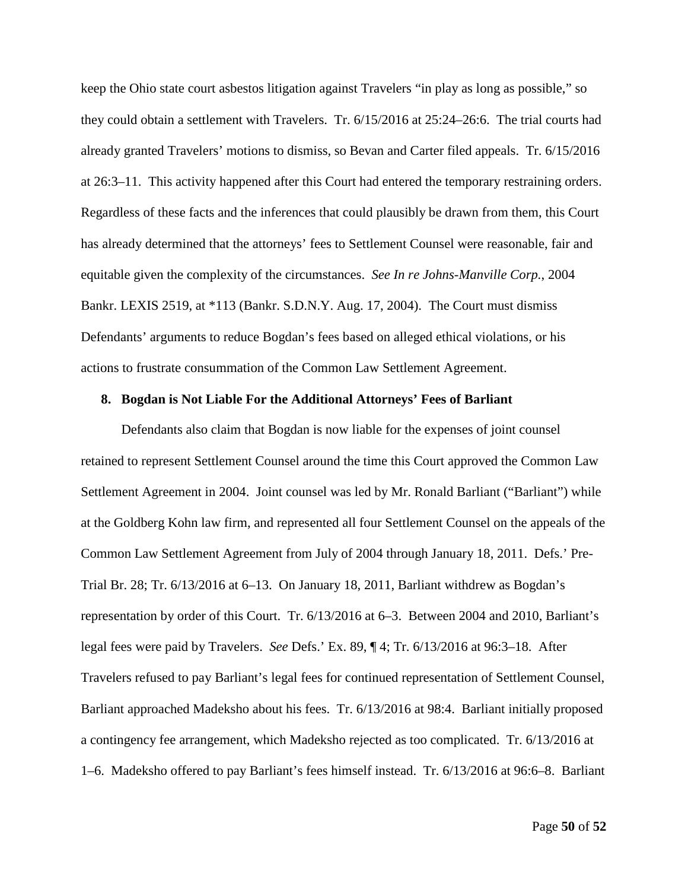keep the Ohio state court asbestos litigation against Travelers "in play as long as possible," so they could obtain a settlement with Travelers. Tr. 6/15/2016 at 25:24–26:6. The trial courts had already granted Travelers' motions to dismiss, so Bevan and Carter filed appeals. Tr. 6/15/2016 at 26:3–11. This activity happened after this Court had entered the temporary restraining orders. Regardless of these facts and the inferences that could plausibly be drawn from them, this Court has already determined that the attorneys' fees to Settlement Counsel were reasonable, fair and equitable given the complexity of the circumstances. *See In re Johns-Manville Corp.*, 2004 Bankr. LEXIS 2519, at \*113 (Bankr. S.D.N.Y. Aug. 17, 2004). The Court must dismiss Defendants' arguments to reduce Bogdan's fees based on alleged ethical violations, or his actions to frustrate consummation of the Common Law Settlement Agreement.

## **8. Bogdan is Not Liable For the Additional Attorneys' Fees of Barliant**

Defendants also claim that Bogdan is now liable for the expenses of joint counsel retained to represent Settlement Counsel around the time this Court approved the Common Law Settlement Agreement in 2004. Joint counsel was led by Mr. Ronald Barliant ("Barliant") while at the Goldberg Kohn law firm, and represented all four Settlement Counsel on the appeals of the Common Law Settlement Agreement from July of 2004 through January 18, 2011. Defs.' Pre-Trial Br. 28; Tr. 6/13/2016 at 6–13. On January 18, 2011, Barliant withdrew as Bogdan's representation by order of this Court. Tr. 6/13/2016 at 6–3. Between 2004 and 2010, Barliant's legal fees were paid by Travelers. *See* Defs.' Ex. 89, ¶ 4; Tr. 6/13/2016 at 96:3–18. After Travelers refused to pay Barliant's legal fees for continued representation of Settlement Counsel, Barliant approached Madeksho about his fees. Tr. 6/13/2016 at 98:4. Barliant initially proposed a contingency fee arrangement, which Madeksho rejected as too complicated. Tr. 6/13/2016 at 1–6. Madeksho offered to pay Barliant's fees himself instead. Tr. 6/13/2016 at 96:6–8. Barliant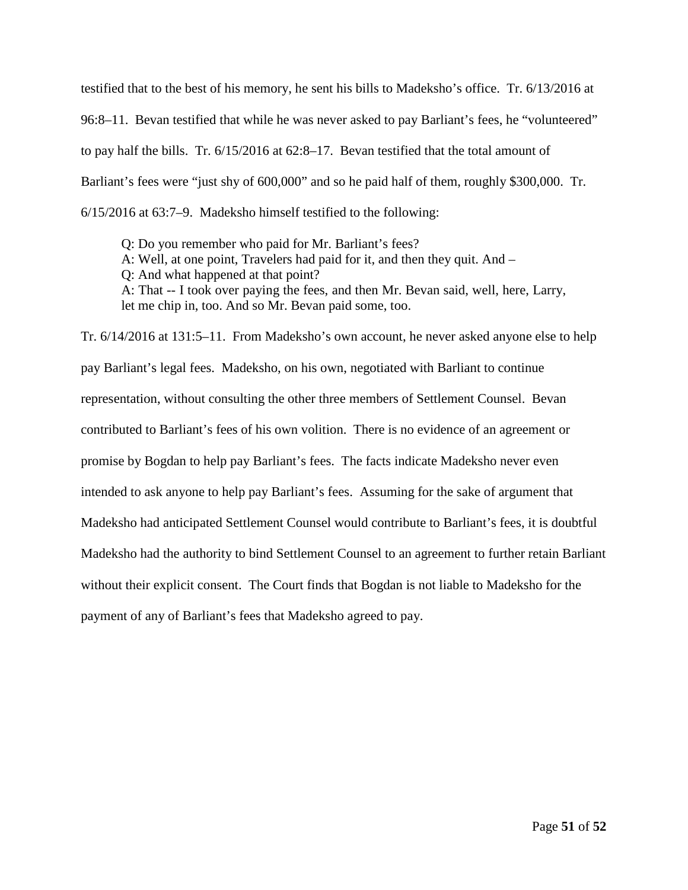testified that to the best of his memory, he sent his bills to Madeksho's office. Tr. 6/13/2016 at 96:8–11. Bevan testified that while he was never asked to pay Barliant's fees, he "volunteered" to pay half the bills. Tr. 6/15/2016 at 62:8–17. Bevan testified that the total amount of Barliant's fees were "just shy of 600,000" and so he paid half of them, roughly \$300,000. Tr. 6/15/2016 at 63:7–9. Madeksho himself testified to the following:

Q: Do you remember who paid for Mr. Barliant's fees? A: Well, at one point, Travelers had paid for it, and then they quit. And – Q: And what happened at that point? A: That -- I took over paying the fees, and then Mr. Bevan said, well, here, Larry, let me chip in, too. And so Mr. Bevan paid some, too.

Tr. 6/14/2016 at 131:5–11. From Madeksho's own account, he never asked anyone else to help pay Barliant's legal fees. Madeksho, on his own, negotiated with Barliant to continue representation, without consulting the other three members of Settlement Counsel. Bevan contributed to Barliant's fees of his own volition. There is no evidence of an agreement or promise by Bogdan to help pay Barliant's fees. The facts indicate Madeksho never even intended to ask anyone to help pay Barliant's fees. Assuming for the sake of argument that Madeksho had anticipated Settlement Counsel would contribute to Barliant's fees, it is doubtful Madeksho had the authority to bind Settlement Counsel to an agreement to further retain Barliant without their explicit consent. The Court finds that Bogdan is not liable to Madeksho for the payment of any of Barliant's fees that Madeksho agreed to pay.